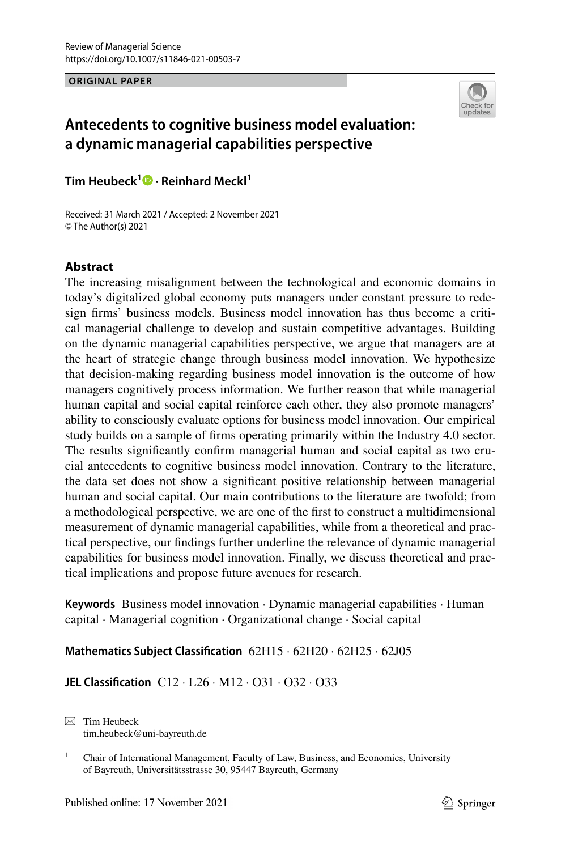**ORIGINAL PAPER**



# **Antecedents to cognitive business model evaluation: a dynamic managerial capabilities perspective**

**Tim Heubeck1  [·](http://orcid.org/0000-0002-8590-1435) Reinhard Meckl<sup>1</sup>**

Received: 31 March 2021 / Accepted: 2 November 2021 © The Author(s) 2021

### **Abstract**

The increasing misalignment between the technological and economic domains in today's digitalized global economy puts managers under constant pressure to redesign frms' business models. Business model innovation has thus become a critical managerial challenge to develop and sustain competitive advantages. Building on the dynamic managerial capabilities perspective, we argue that managers are at the heart of strategic change through business model innovation. We hypothesize that decision-making regarding business model innovation is the outcome of how managers cognitively process information. We further reason that while managerial human capital and social capital reinforce each other, they also promote managers' ability to consciously evaluate options for business model innovation. Our empirical study builds on a sample of frms operating primarily within the Industry 4.0 sector. The results signifcantly confrm managerial human and social capital as two crucial antecedents to cognitive business model innovation. Contrary to the literature, the data set does not show a signifcant positive relationship between managerial human and social capital. Our main contributions to the literature are twofold; from a methodological perspective, we are one of the frst to construct a multidimensional measurement of dynamic managerial capabilities, while from a theoretical and practical perspective, our fndings further underline the relevance of dynamic managerial capabilities for business model innovation. Finally, we discuss theoretical and practical implications and propose future avenues for research.

**Keywords** Business model innovation · Dynamic managerial capabilities · Human capital · Managerial cognition · Organizational change · Social capital

**Mathematics Subject Classifcation** 62H15 · 62H20 · 62H25 · 62J05

**JEL Classifcation** C12 · L26 · M12 · O31 · O32 · O33

 $\boxtimes$  Tim Heubeck tim.heubeck@uni-bayreuth.de

 $1$  Chair of International Management, Faculty of Law, Business, and Economics, University of Bayreuth, Universitätsstrasse 30, 95447 Bayreuth, Germany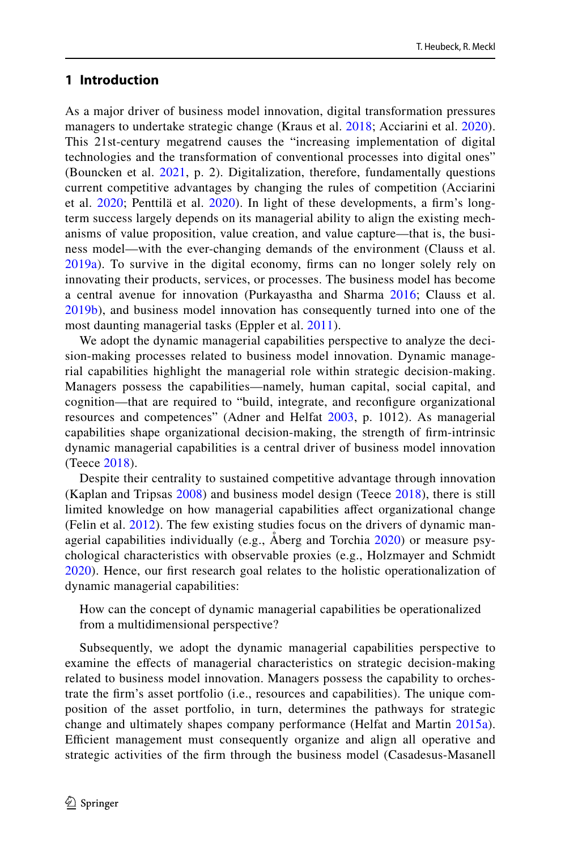### **1 Introduction**

As a major driver of business model innovation, digital transformation pressures managers to undertake strategic change (Kraus et al. [2018;](#page-24-0) Acciarini et al. [2020](#page-22-0)). This 21st-century megatrend causes the "increasing implementation of digital technologies and the transformation of conventional processes into digital ones" (Bouncken et al. [2021,](#page-23-0) p. 2). Digitalization, therefore, fundamentally questions current competitive advantages by changing the rules of competition (Acciarini et al. [2020;](#page-22-0) Penttilä et al. [2020](#page-24-1)). In light of these developments, a frm's longterm success largely depends on its managerial ability to align the existing mechanisms of value proposition, value creation, and value capture—that is, the business model—with the ever-changing demands of the environment (Clauss et al. [2019a](#page-23-1)). To survive in the digital economy, frms can no longer solely rely on innovating their products, services, or processes. The business model has become a central avenue for innovation (Purkayastha and Sharma [2016](#page-25-0); Clauss et al. [2019b\)](#page-23-2), and business model innovation has consequently turned into one of the most daunting managerial tasks (Eppler et al. [2011](#page-23-3)).

We adopt the dynamic managerial capabilities perspective to analyze the decision-making processes related to business model innovation. Dynamic managerial capabilities highlight the managerial role within strategic decision-making. Managers possess the capabilities—namely, human capital, social capital, and cognition—that are required to "build, integrate, and reconfgure organizational resources and competences" (Adner and Helfat [2003](#page-22-1), p. 1012). As managerial capabilities shape organizational decision-making, the strength of frm-intrinsic dynamic managerial capabilities is a central driver of business model innovation (Teece [2018\)](#page-25-1).

Despite their centrality to sustained competitive advantage through innovation (Kaplan and Tripsas [2008\)](#page-24-2) and business model design (Teece [2018](#page-25-1)), there is still limited knowledge on how managerial capabilities afect organizational change (Felin et al. [2012\)](#page-23-4). The few existing studies focus on the drivers of dynamic managerial capabilities individually (e.g., Åberg and Torchia  $2020$ ) or measure psychological characteristics with observable proxies (e.g., Holzmayer and Schmidt [2020\)](#page-24-3). Hence, our frst research goal relates to the holistic operationalization of dynamic managerial capabilities:

How can the concept of dynamic managerial capabilities be operationalized from a multidimensional perspective?

Subsequently, we adopt the dynamic managerial capabilities perspective to examine the efects of managerial characteristics on strategic decision-making related to business model innovation. Managers possess the capability to orchestrate the frm's asset portfolio (i.e., resources and capabilities). The unique composition of the asset portfolio, in turn, determines the pathways for strategic change and ultimately shapes company performance (Helfat and Martin [2015a](#page-24-4)). Efficient management must consequently organize and align all operative and strategic activities of the frm through the business model (Casadesus-Masanell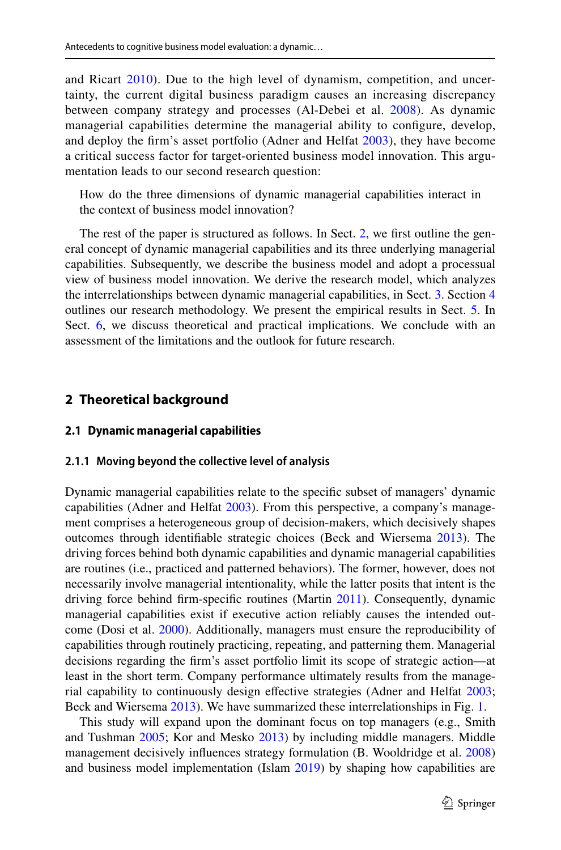and Ricart [2010\)](#page-23-5). Due to the high level of dynamism, competition, and uncertainty, the current digital business paradigm causes an increasing discrepancy between company strategy and processes (Al-Debei et al. [2008](#page-22-3)). As dynamic managerial capabilities determine the managerial ability to confgure, develop, and deploy the frm's asset portfolio (Adner and Helfat [2003\)](#page-22-1), they have become a critical success factor for target-oriented business model innovation. This argumentation leads to our second research question:

How do the three dimensions of dynamic managerial capabilities interact in the context of business model innovation?

The rest of the paper is structured as follows. In Sect. [2,](#page-2-0) we frst outline the general concept of dynamic managerial capabilities and its three underlying managerial capabilities. Subsequently, we describe the business model and adopt a processual view of business model innovation. We derive the research model, which analyzes the interrelationships between dynamic managerial capabilities, in Sect. [3.](#page-7-0) Section [4](#page-11-0) outlines our research methodology. We present the empirical results in Sect. [5.](#page-13-0) In Sect. [6](#page-18-0), we discuss theoretical and practical implications. We conclude with an assessment of the limitations and the outlook for future research.

### **2 Theoretical background**

#### **2.1 Dynamic managerial capabilities**

#### <span id="page-2-0"></span>**2.1.1 Moving beyond the collective level of analysis**

Dynamic managerial capabilities relate to the specifc subset of managers' dynamic capabilities (Adner and Helfat [2003](#page-22-1)). From this perspective, a company's management comprises a heterogeneous group of decision-makers, which decisively shapes outcomes through identifable strategic choices (Beck and Wiersema [2013\)](#page-22-4). The driving forces behind both dynamic capabilities and dynamic managerial capabilities are routines (i.e., practiced and patterned behaviors). The former, however, does not necessarily involve managerial intentionality, while the latter posits that intent is the driving force behind frm-specifc routines (Martin [2011\)](#page-24-5). Consequently, dynamic managerial capabilities exist if executive action reliably causes the intended outcome (Dosi et al. [2000](#page-23-6)). Additionally, managers must ensure the reproducibility of capabilities through routinely practicing, repeating, and patterning them. Managerial decisions regarding the frm's asset portfolio limit its scope of strategic action—at least in the short term. Company performance ultimately results from the manage-rial capability to continuously design effective strategies (Adner and Helfat [2003;](#page-22-1) Beck and Wiersema [2013\)](#page-22-4). We have summarized these interrelationships in Fig. [1](#page-3-0).

This study will expand upon the dominant focus on top managers (e.g., Smith and Tushman [2005](#page-25-2); Kor and Mesko [2013\)](#page-24-6) by including middle managers. Middle management decisively infuences strategy formulation (B. Wooldridge et al. [2008](#page-25-3)) and business model implementation (Islam [2019](#page-24-7)) by shaping how capabilities are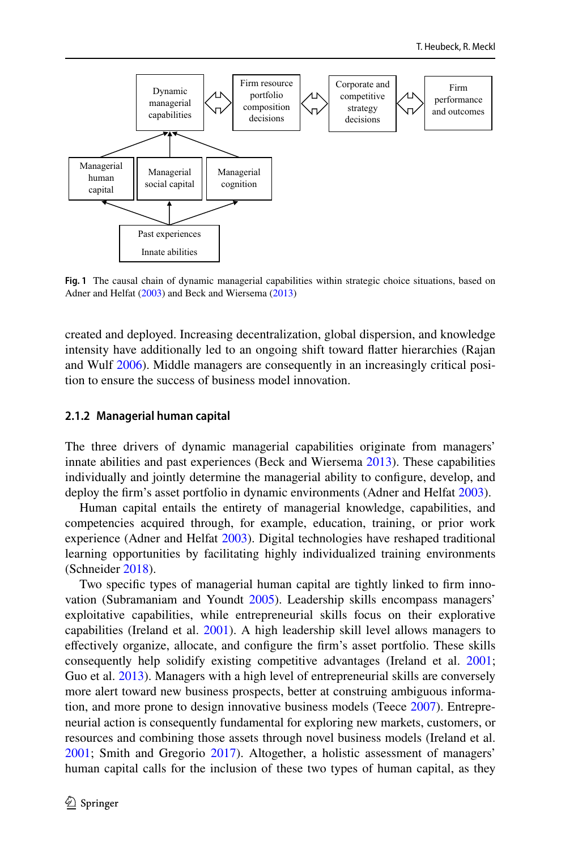

<span id="page-3-0"></span>**Fig. 1** The causal chain of dynamic managerial capabilities within strategic choice situations, based on Adner and Helfat ([2003\)](#page-22-1) and Beck and Wiersema ([2013\)](#page-22-4)

created and deployed. Increasing decentralization, global dispersion, and knowledge intensity have additionally led to an ongoing shift toward fatter hierarchies (Rajan and Wulf [2006](#page-25-4)). Middle managers are consequently in an increasingly critical position to ensure the success of business model innovation.

#### **2.1.2 Managerial human capital**

The three drivers of dynamic managerial capabilities originate from managers' innate abilities and past experiences (Beck and Wiersema [2013](#page-22-4)). These capabilities individually and jointly determine the managerial ability to confgure, develop, and deploy the frm's asset portfolio in dynamic environments (Adner and Helfat [2003](#page-22-1)).

Human capital entails the entirety of managerial knowledge, capabilities, and competencies acquired through, for example, education, training, or prior work experience (Adner and Helfat [2003\)](#page-22-1). Digital technologies have reshaped traditional learning opportunities by facilitating highly individualized training environments (Schneider [2018\)](#page-25-5).

Two specifc types of managerial human capital are tightly linked to frm innovation (Subramaniam and Youndt [2005](#page-25-6)). Leadership skills encompass managers' exploitative capabilities, while entrepreneurial skills focus on their explorative capabilities (Ireland et al. [2001\)](#page-24-8). A high leadership skill level allows managers to efectively organize, allocate, and confgure the frm's asset portfolio. These skills consequently help solidify existing competitive advantages (Ireland et al. [2001;](#page-24-8) Guo et al. [2013\)](#page-23-7). Managers with a high level of entrepreneurial skills are conversely more alert toward new business prospects, better at construing ambiguous information, and more prone to design innovative business models (Teece [2007\)](#page-25-7). Entrepreneurial action is consequently fundamental for exploring new markets, customers, or resources and combining those assets through novel business models (Ireland et al. [2001](#page-24-8); Smith and Gregorio [2017](#page-25-8)). Altogether, a holistic assessment of managers' human capital calls for the inclusion of these two types of human capital, as they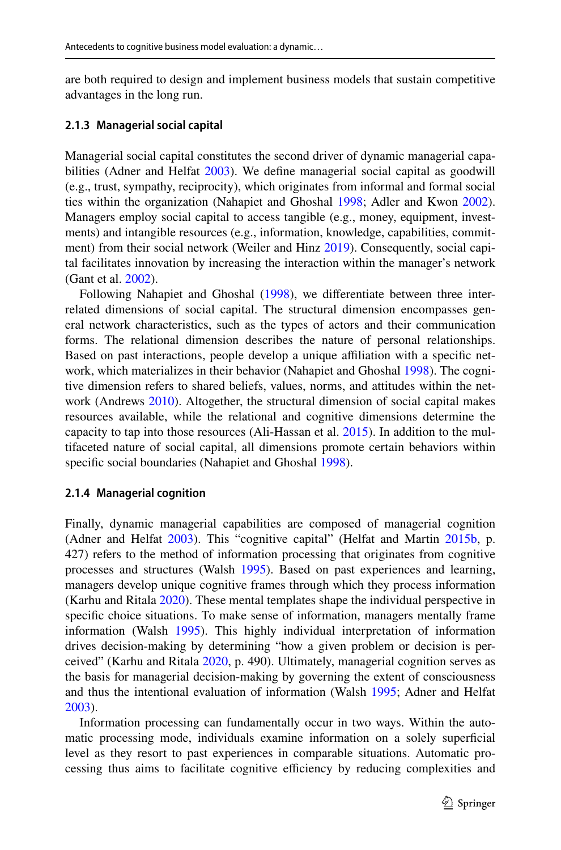are both required to design and implement business models that sustain competitive advantages in the long run.

### **2.1.3 Managerial social capital**

Managerial social capital constitutes the second driver of dynamic managerial capabilities (Adner and Helfat [2003](#page-22-1)). We defne managerial social capital as goodwill (e.g., trust, sympathy, reciprocity), which originates from informal and formal social ties within the organization (Nahapiet and Ghoshal [1998](#page-24-9); Adler and Kwon [2002\)](#page-22-5). Managers employ social capital to access tangible (e.g., money, equipment, investments) and intangible resources (e.g., information, knowledge, capabilities, commit-ment) from their social network (Weiler and Hinz [2019](#page-25-9)). Consequently, social capital facilitates innovation by increasing the interaction within the manager's network (Gant et al. [2002](#page-23-8)).

Following Nahapiet and Ghoshal [\(1998](#page-24-9)), we diferentiate between three interrelated dimensions of social capital. The structural dimension encompasses general network characteristics, such as the types of actors and their communication forms. The relational dimension describes the nature of personal relationships. Based on past interactions, people develop a unique afliation with a specifc network, which materializes in their behavior (Nahapiet and Ghoshal [1998](#page-24-9)). The cognitive dimension refers to shared beliefs, values, norms, and attitudes within the network (Andrews [2010\)](#page-22-6). Altogether, the structural dimension of social capital makes resources available, while the relational and cognitive dimensions determine the capacity to tap into those resources (Ali-Hassan et al. [2015\)](#page-22-7). In addition to the multifaceted nature of social capital, all dimensions promote certain behaviors within specific social boundaries (Nahapiet and Ghoshal [1998\)](#page-24-9).

#### **2.1.4 Managerial cognition**

Finally, dynamic managerial capabilities are composed of managerial cognition (Adner and Helfat [2003\)](#page-22-1). This "cognitive capital" (Helfat and Martin [2015b,](#page-24-10) p. 427) refers to the method of information processing that originates from cognitive processes and structures (Walsh [1995\)](#page-25-10). Based on past experiences and learning, managers develop unique cognitive frames through which they process information (Karhu and Ritala [2020\)](#page-24-11). These mental templates shape the individual perspective in specifc choice situations. To make sense of information, managers mentally frame information (Walsh [1995](#page-25-10)). This highly individual interpretation of information drives decision-making by determining "how a given problem or decision is perceived" (Karhu and Ritala [2020,](#page-24-11) p. 490). Ultimately, managerial cognition serves as the basis for managerial decision-making by governing the extent of consciousness and thus the intentional evaluation of information (Walsh [1995;](#page-25-10) Adner and Helfat [2003](#page-22-1)).

Information processing can fundamentally occur in two ways. Within the automatic processing mode, individuals examine information on a solely superfcial level as they resort to past experiences in comparable situations. Automatic processing thus aims to facilitate cognitive efficiency by reducing complexities and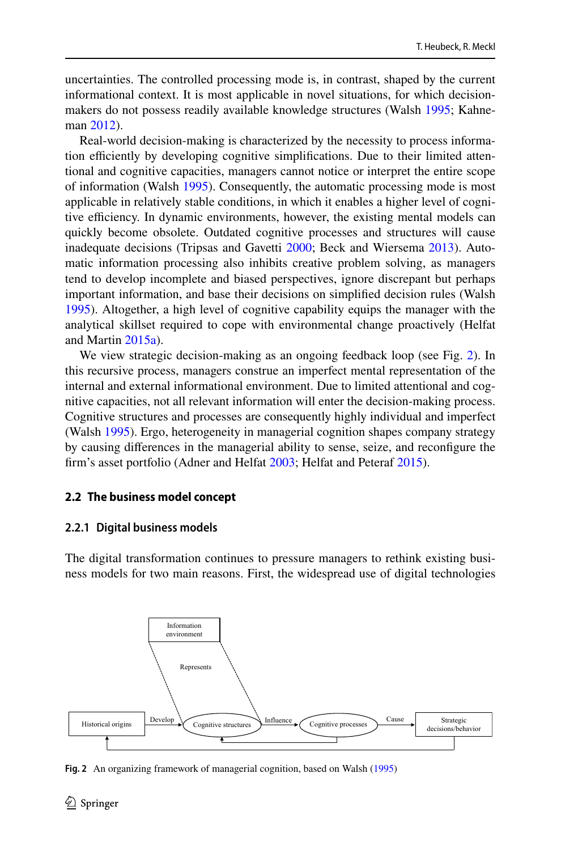uncertainties. The controlled processing mode is, in contrast, shaped by the current informational context. It is most applicable in novel situations, for which decisionmakers do not possess readily available knowledge structures (Walsh [1995](#page-25-10); Kahneman [2012\)](#page-24-12).

Real-world decision-making is characterized by the necessity to process information efficiently by developing cognitive simplifications. Due to their limited attentional and cognitive capacities, managers cannot notice or interpret the entire scope of information (Walsh [1995](#page-25-10)). Consequently, the automatic processing mode is most applicable in relatively stable conditions, in which it enables a higher level of cognitive efficiency. In dynamic environments, however, the existing mental models can quickly become obsolete. Outdated cognitive processes and structures will cause inadequate decisions (Tripsas and Gavetti [2000](#page-25-11); Beck and Wiersema [2013\)](#page-22-4). Automatic information processing also inhibits creative problem solving, as managers tend to develop incomplete and biased perspectives, ignore discrepant but perhaps important information, and base their decisions on simplifed decision rules (Walsh [1995](#page-25-10)). Altogether, a high level of cognitive capability equips the manager with the analytical skillset required to cope with environmental change proactively (Helfat and Martin [2015a](#page-24-4)).

We view strategic decision-making as an ongoing feedback loop (see Fig. [2](#page-5-0)). In this recursive process, managers construe an imperfect mental representation of the internal and external informational environment. Due to limited attentional and cognitive capacities, not all relevant information will enter the decision-making process. Cognitive structures and processes are consequently highly individual and imperfect (Walsh [1995\)](#page-25-10). Ergo, heterogeneity in managerial cognition shapes company strategy by causing diferences in the managerial ability to sense, seize, and reconfgure the firm's asset portfolio (Adner and Helfat [2003](#page-22-1); Helfat and Peteraf [2015](#page-24-13)).

#### **2.2 The business model concept**

#### **2.2.1 Digital business models**

The digital transformation continues to pressure managers to rethink existing business models for two main reasons. First, the widespread use of digital technologies



<span id="page-5-0"></span>**Fig. 2** An organizing framework of managerial cognition, based on Walsh ([1995\)](#page-25-10)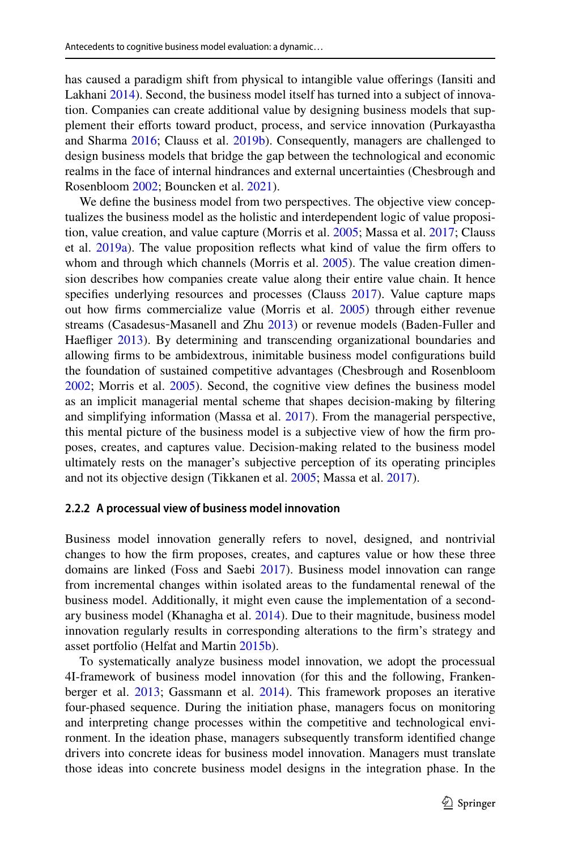has caused a paradigm shift from physical to intangible value oferings (Iansiti and Lakhani [2014](#page-24-14)). Second, the business model itself has turned into a subject of innovation. Companies can create additional value by designing business models that supplement their eforts toward product, process, and service innovation (Purkayastha and Sharma [2016;](#page-25-0) Clauss et al. [2019b\)](#page-23-2). Consequently, managers are challenged to design business models that bridge the gap between the technological and economic realms in the face of internal hindrances and external uncertainties (Chesbrough and Rosenbloom [2002;](#page-23-9) Bouncken et al. [2021\)](#page-23-0).

We defne the business model from two perspectives. The objective view conceptualizes the business model as the holistic and interdependent logic of value proposition, value creation, and value capture (Morris et al. [2005](#page-24-15); Massa et al. [2017](#page-24-16); Clauss et al. [2019a\)](#page-23-1). The value proposition refects what kind of value the frm ofers to whom and through which channels (Morris et al. [2005\)](#page-24-15). The value creation dimension describes how companies create value along their entire value chain. It hence specifies underlying resources and processes (Clauss [2017\)](#page-23-10). Value capture maps out how frms commercialize value (Morris et al. [2005](#page-24-15)) through either revenue streams (Casadesus‐Masanell and Zhu [2013](#page-23-11)) or revenue models (Baden-Fuller and Haefiger [2013](#page-22-8)). By determining and transcending organizational boundaries and allowing frms to be ambidextrous, inimitable business model confgurations build the foundation of sustained competitive advantages (Chesbrough and Rosenbloom [2002](#page-23-9); Morris et al. [2005](#page-24-15)). Second, the cognitive view defnes the business model as an implicit managerial mental scheme that shapes decision-making by fltering and simplifying information (Massa et al. [2017\)](#page-24-16). From the managerial perspective, this mental picture of the business model is a subjective view of how the frm proposes, creates, and captures value. Decision-making related to the business model ultimately rests on the manager's subjective perception of its operating principles and not its objective design (Tikkanen et al. [2005](#page-25-12); Massa et al. [2017](#page-24-16)).

#### **2.2.2 A processual view of business model innovation**

Business model innovation generally refers to novel, designed, and nontrivial changes to how the frm proposes, creates, and captures value or how these three domains are linked (Foss and Saebi [2017\)](#page-23-12). Business model innovation can range from incremental changes within isolated areas to the fundamental renewal of the business model. Additionally, it might even cause the implementation of a secondary business model (Khanagha et al. [2014\)](#page-24-17). Due to their magnitude, business model innovation regularly results in corresponding alterations to the frm's strategy and asset portfolio (Helfat and Martin [2015b\)](#page-24-10).

To systematically analyze business model innovation, we adopt the processual 4I-framework of business model innovation (for this and the following, Frankenberger et al. [2013](#page-23-13); Gassmann et al. [2014](#page-23-14)). This framework proposes an iterative four-phased sequence. During the initiation phase, managers focus on monitoring and interpreting change processes within the competitive and technological environment. In the ideation phase, managers subsequently transform identifed change drivers into concrete ideas for business model innovation. Managers must translate those ideas into concrete business model designs in the integration phase. In the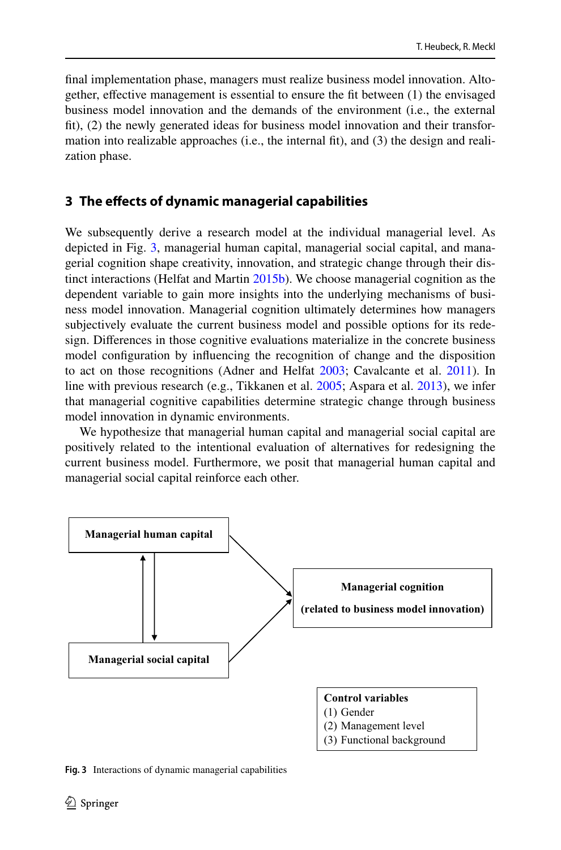fnal implementation phase, managers must realize business model innovation. Altogether, efective management is essential to ensure the ft between (1) the envisaged business model innovation and the demands of the environment (i.e., the external ft), (2) the newly generated ideas for business model innovation and their transformation into realizable approaches (i.e., the internal ft), and (3) the design and realization phase.

### <span id="page-7-0"></span>**3 The efects of dynamic managerial capabilities**

We subsequently derive a research model at the individual managerial level. As depicted in Fig. [3](#page-7-1), managerial human capital, managerial social capital, and managerial cognition shape creativity, innovation, and strategic change through their distinct interactions (Helfat and Martin [2015b](#page-24-10)). We choose managerial cognition as the dependent variable to gain more insights into the underlying mechanisms of business model innovation. Managerial cognition ultimately determines how managers subjectively evaluate the current business model and possible options for its redesign. Diferences in those cognitive evaluations materialize in the concrete business model confguration by infuencing the recognition of change and the disposition to act on those recognitions (Adner and Helfat [2003;](#page-22-1) Cavalcante et al. [2011](#page-23-15)). In line with previous research (e.g., Tikkanen et al. [2005](#page-25-12); Aspara et al. [2013\)](#page-22-9), we infer that managerial cognitive capabilities determine strategic change through business model innovation in dynamic environments.

We hypothesize that managerial human capital and managerial social capital are positively related to the intentional evaluation of alternatives for redesigning the current business model. Furthermore, we posit that managerial human capital and managerial social capital reinforce each other.



<span id="page-7-1"></span>**Fig. 3** Interactions of dynamic managerial capabilities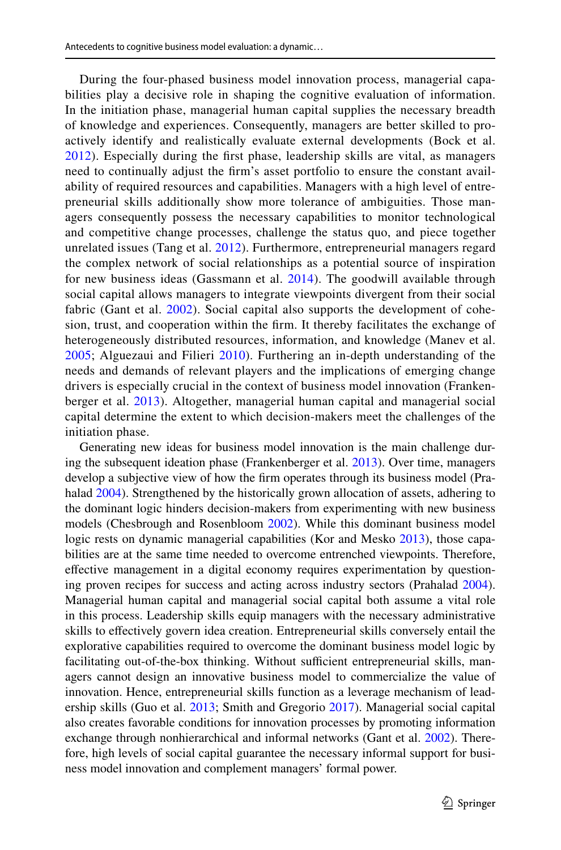During the four-phased business model innovation process, managerial capabilities play a decisive role in shaping the cognitive evaluation of information. In the initiation phase, managerial human capital supplies the necessary breadth of knowledge and experiences. Consequently, managers are better skilled to proactively identify and realistically evaluate external developments (Bock et al. [2012\)](#page-23-16). Especially during the frst phase, leadership skills are vital, as managers need to continually adjust the frm's asset portfolio to ensure the constant availability of required resources and capabilities. Managers with a high level of entrepreneurial skills additionally show more tolerance of ambiguities. Those managers consequently possess the necessary capabilities to monitor technological and competitive change processes, challenge the status quo, and piece together unrelated issues (Tang et al. [2012](#page-25-13)). Furthermore, entrepreneurial managers regard the complex network of social relationships as a potential source of inspiration for new business ideas (Gassmann et al. [2014](#page-23-14)). The goodwill available through social capital allows managers to integrate viewpoints divergent from their social fabric (Gant et al. [2002](#page-23-8)). Social capital also supports the development of cohesion, trust, and cooperation within the frm. It thereby facilitates the exchange of heterogeneously distributed resources, information, and knowledge (Manev et al. [2005;](#page-24-18) Alguezaui and Filieri [2010](#page-22-10)). Furthering an in-depth understanding of the needs and demands of relevant players and the implications of emerging change drivers is especially crucial in the context of business model innovation (Frankenberger et al. [2013\)](#page-23-13). Altogether, managerial human capital and managerial social capital determine the extent to which decision-makers meet the challenges of the initiation phase.

Generating new ideas for business model innovation is the main challenge during the subsequent ideation phase (Frankenberger et al. [2013\)](#page-23-13). Over time, managers develop a subjective view of how the frm operates through its business model (Prahalad [2004](#page-24-19)). Strengthened by the historically grown allocation of assets, adhering to the dominant logic hinders decision-makers from experimenting with new business models (Chesbrough and Rosenbloom [2002\)](#page-23-9). While this dominant business model logic rests on dynamic managerial capabilities (Kor and Mesko [2013](#page-24-6)), those capabilities are at the same time needed to overcome entrenched viewpoints. Therefore, efective management in a digital economy requires experimentation by questioning proven recipes for success and acting across industry sectors (Prahalad [2004\)](#page-24-19). Managerial human capital and managerial social capital both assume a vital role in this process. Leadership skills equip managers with the necessary administrative skills to efectively govern idea creation. Entrepreneurial skills conversely entail the explorative capabilities required to overcome the dominant business model logic by facilitating out-of-the-box thinking. Without sufficient entrepreneurial skills, managers cannot design an innovative business model to commercialize the value of innovation. Hence, entrepreneurial skills function as a leverage mechanism of leadership skills (Guo et al. [2013;](#page-23-7) Smith and Gregorio [2017](#page-25-8)). Managerial social capital also creates favorable conditions for innovation processes by promoting information exchange through nonhierarchical and informal networks (Gant et al. [2002\)](#page-23-8). Therefore, high levels of social capital guarantee the necessary informal support for business model innovation and complement managers' formal power.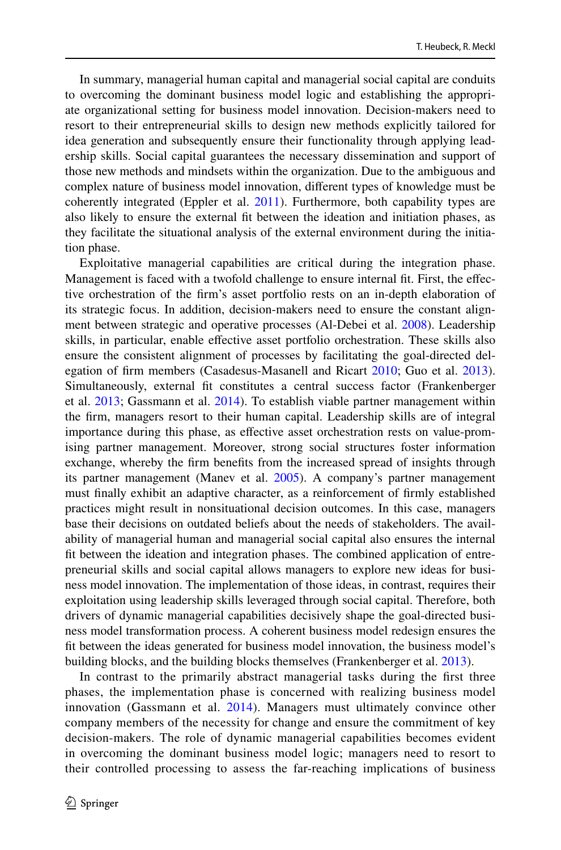In summary, managerial human capital and managerial social capital are conduits to overcoming the dominant business model logic and establishing the appropriate organizational setting for business model innovation. Decision-makers need to resort to their entrepreneurial skills to design new methods explicitly tailored for idea generation and subsequently ensure their functionality through applying leadership skills. Social capital guarantees the necessary dissemination and support of those new methods and mindsets within the organization. Due to the ambiguous and complex nature of business model innovation, diferent types of knowledge must be coherently integrated (Eppler et al. [2011](#page-23-3)). Furthermore, both capability types are also likely to ensure the external ft between the ideation and initiation phases, as they facilitate the situational analysis of the external environment during the initiation phase.

Exploitative managerial capabilities are critical during the integration phase. Management is faced with a twofold challenge to ensure internal ft. First, the efective orchestration of the frm's asset portfolio rests on an in-depth elaboration of its strategic focus. In addition, decision-makers need to ensure the constant alignment between strategic and operative processes (Al-Debei et al. [2008\)](#page-22-3). Leadership skills, in particular, enable effective asset portfolio orchestration. These skills also ensure the consistent alignment of processes by facilitating the goal-directed delegation of frm members (Casadesus-Masanell and Ricart [2010](#page-23-5); Guo et al. [2013\)](#page-23-7). Simultaneously, external ft constitutes a central success factor (Frankenberger et al. [2013](#page-23-13); Gassmann et al. [2014](#page-23-14)). To establish viable partner management within the frm, managers resort to their human capital. Leadership skills are of integral importance during this phase, as efective asset orchestration rests on value-promising partner management. Moreover, strong social structures foster information exchange, whereby the frm benefts from the increased spread of insights through its partner management (Manev et al. [2005\)](#page-24-18). A company's partner management must fnally exhibit an adaptive character, as a reinforcement of frmly established practices might result in nonsituational decision outcomes. In this case, managers base their decisions on outdated beliefs about the needs of stakeholders. The availability of managerial human and managerial social capital also ensures the internal ft between the ideation and integration phases. The combined application of entrepreneurial skills and social capital allows managers to explore new ideas for business model innovation. The implementation of those ideas, in contrast, requires their exploitation using leadership skills leveraged through social capital. Therefore, both drivers of dynamic managerial capabilities decisively shape the goal-directed business model transformation process. A coherent business model redesign ensures the ft between the ideas generated for business model innovation, the business model's building blocks, and the building blocks themselves (Frankenberger et al. [2013\)](#page-23-13).

In contrast to the primarily abstract managerial tasks during the frst three phases, the implementation phase is concerned with realizing business model innovation (Gassmann et al. [2014](#page-23-14)). Managers must ultimately convince other company members of the necessity for change and ensure the commitment of key decision-makers. The role of dynamic managerial capabilities becomes evident in overcoming the dominant business model logic; managers need to resort to their controlled processing to assess the far-reaching implications of business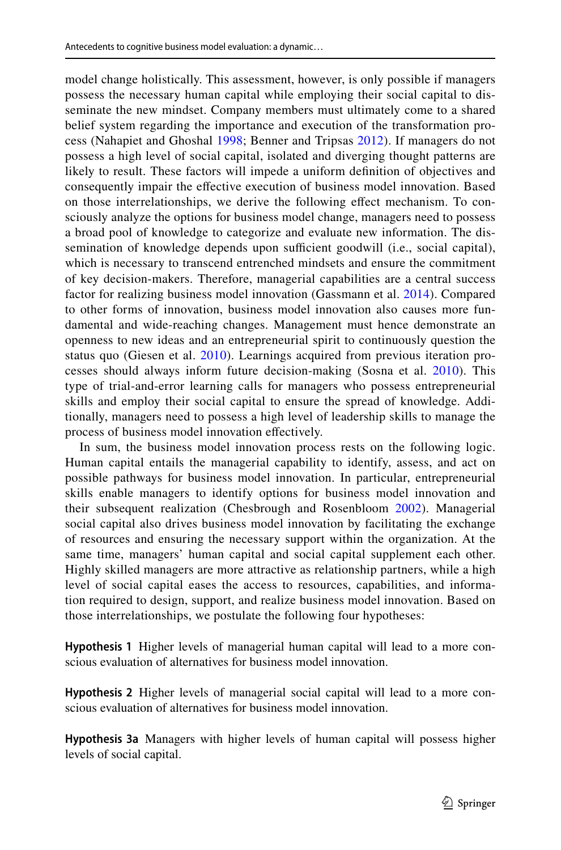model change holistically. This assessment, however, is only possible if managers possess the necessary human capital while employing their social capital to disseminate the new mindset. Company members must ultimately come to a shared belief system regarding the importance and execution of the transformation process (Nahapiet and Ghoshal [1998](#page-24-9); Benner and Tripsas [2012\)](#page-23-17). If managers do not possess a high level of social capital, isolated and diverging thought patterns are likely to result. These factors will impede a uniform defnition of objectives and consequently impair the efective execution of business model innovation. Based on those interrelationships, we derive the following efect mechanism. To consciously analyze the options for business model change, managers need to possess a broad pool of knowledge to categorize and evaluate new information. The dissemination of knowledge depends upon sufficient goodwill (i.e., social capital), which is necessary to transcend entrenched mindsets and ensure the commitment of key decision-makers. Therefore, managerial capabilities are a central success factor for realizing business model innovation (Gassmann et al. [2014\)](#page-23-14). Compared to other forms of innovation, business model innovation also causes more fundamental and wide-reaching changes. Management must hence demonstrate an openness to new ideas and an entrepreneurial spirit to continuously question the status quo (Giesen et al. [2010\)](#page-23-18). Learnings acquired from previous iteration processes should always inform future decision-making (Sosna et al. [2010\)](#page-25-14). This type of trial-and-error learning calls for managers who possess entrepreneurial skills and employ their social capital to ensure the spread of knowledge. Additionally, managers need to possess a high level of leadership skills to manage the process of business model innovation efectively.

In sum, the business model innovation process rests on the following logic. Human capital entails the managerial capability to identify, assess, and act on possible pathways for business model innovation. In particular, entrepreneurial skills enable managers to identify options for business model innovation and their subsequent realization (Chesbrough and Rosenbloom [2002](#page-23-9)). Managerial social capital also drives business model innovation by facilitating the exchange of resources and ensuring the necessary support within the organization. At the same time, managers' human capital and social capital supplement each other. Highly skilled managers are more attractive as relationship partners, while a high level of social capital eases the access to resources, capabilities, and information required to design, support, and realize business model innovation. Based on those interrelationships, we postulate the following four hypotheses:

<span id="page-10-0"></span>**Hypothesis 1** Higher levels of managerial human capital will lead to a more conscious evaluation of alternatives for business model innovation.

<span id="page-10-1"></span>**Hypothesis 2** Higher levels of managerial social capital will lead to a more conscious evaluation of alternatives for business model innovation.

<span id="page-10-2"></span>**Hypothesis 3a** Managers with higher levels of human capital will possess higher levels of social capital.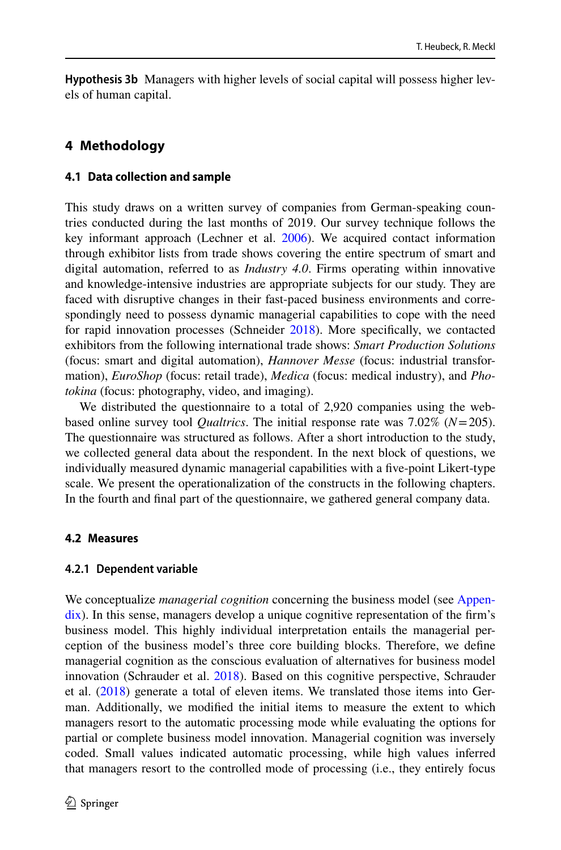<span id="page-11-1"></span>**Hypothesis 3b** Managers with higher levels of social capital will possess higher levels of human capital.

# <span id="page-11-0"></span>**4 Methodology**

#### **4.1 Data collection and sample**

This study draws on a written survey of companies from German-speaking countries conducted during the last months of 2019. Our survey technique follows the key informant approach (Lechner et al. [2006\)](#page-24-20). We acquired contact information through exhibitor lists from trade shows covering the entire spectrum of smart and digital automation, referred to as *Industry 4.0*. Firms operating within innovative and knowledge-intensive industries are appropriate subjects for our study. They are faced with disruptive changes in their fast-paced business environments and correspondingly need to possess dynamic managerial capabilities to cope with the need for rapid innovation processes (Schneider [2018](#page-25-5)). More specifcally, we contacted exhibitors from the following international trade shows: *Smart Production Solutions* (focus: smart and digital automation), *Hannover Messe* (focus: industrial transformation), *EuroShop* (focus: retail trade), *Medica* (focus: medical industry), and *Photokina* (focus: photography, video, and imaging).

We distributed the questionnaire to a total of 2,920 companies using the webbased online survey tool *Qualtrics*. The initial response rate was 7.02% (*N*=205). The questionnaire was structured as follows. After a short introduction to the study, we collected general data about the respondent. In the next block of questions, we individually measured dynamic managerial capabilities with a fve-point Likert-type scale. We present the operationalization of the constructs in the following chapters. In the fourth and fnal part of the questionnaire, we gathered general company data.

### **4.2 Measures**

#### **4.2.1 Dependent variable**

We conceptualize *managerial cognition* concerning the business model (see Appendix). In this sense, managers develop a unique cognitive representation of the firm's business model. This highly individual interpretation entails the managerial perception of the business model's three core building blocks. Therefore, we defne managerial cognition as the conscious evaluation of alternatives for business model innovation (Schrauder et al. [2018\)](#page-25-15). Based on this cognitive perspective, Schrauder et al. ([2018\)](#page-25-15) generate a total of eleven items. We translated those items into German. Additionally, we modifed the initial items to measure the extent to which managers resort to the automatic processing mode while evaluating the options for partial or complete business model innovation. Managerial cognition was inversely coded. Small values indicated automatic processing, while high values inferred that managers resort to the controlled mode of processing (i.e., they entirely focus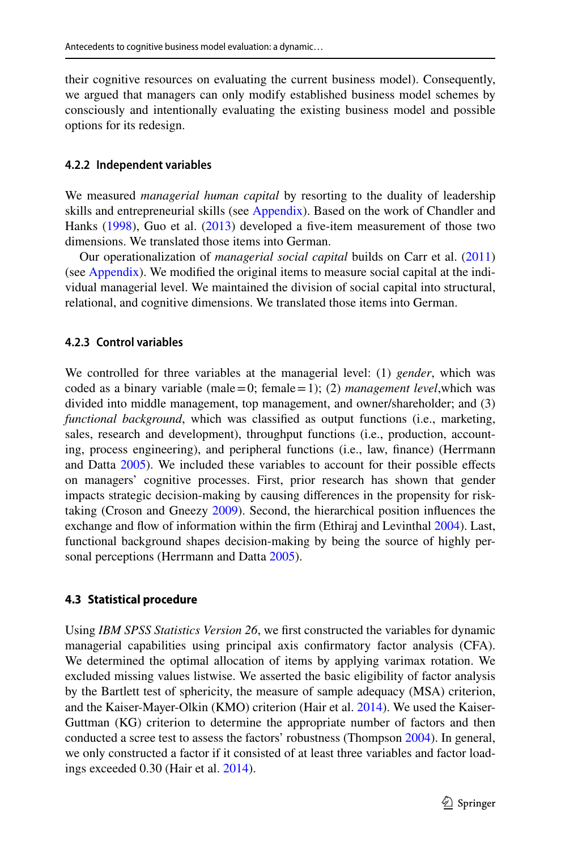their cognitive resources on evaluating the current business model). Consequently, we argued that managers can only modify established business model schemes by consciously and intentionally evaluating the existing business model and possible options for its redesign.

#### **4.2.2 Independent variables**

We measured *managerial human capital* by resorting to the duality of leadership skills and entrepreneurial skills (see Appendix). Based on the work of Chandler and Hanks ([1998\)](#page-23-19), Guo et al. [\(2013](#page-23-7)) developed a fve-item measurement of those two dimensions. We translated those items into German.

Our operationalization of *managerial social capital* builds on Carr et al. ([2011\)](#page-23-20) (see Appendix). We modifed the original items to measure social capital at the individual managerial level. We maintained the division of social capital into structural, relational, and cognitive dimensions. We translated those items into German.

#### **4.2.3 Control variables**

We controlled for three variables at the managerial level: (1) *gender*, which was coded as a binary variable (male=0; female=1); (2) *management level*,which was divided into middle management, top management, and owner/shareholder; and (3) *functional background*, which was classifed as output functions (i.e., marketing, sales, research and development), throughput functions (i.e., production, accounting, process engineering), and peripheral functions (i.e., law, fnance) (Herrmann and Datta [2005](#page-24-21)). We included these variables to account for their possible efects on managers' cognitive processes. First, prior research has shown that gender impacts strategic decision-making by causing diferences in the propensity for risktaking (Croson and Gneezy [2009](#page-23-21)). Second, the hierarchical position infuences the exchange and flow of information within the firm (Ethiraj and Levinthal [2004](#page-23-22)). Last, functional background shapes decision-making by being the source of highly personal perceptions (Herrmann and Datta [2005](#page-24-21)).

#### **4.3 Statistical procedure**

Using *IBM SPSS Statistics Version 26*, we frst constructed the variables for dynamic managerial capabilities using principal axis confrmatory factor analysis (CFA). We determined the optimal allocation of items by applying varimax rotation. We excluded missing values listwise. We asserted the basic eligibility of factor analysis by the Bartlett test of sphericity, the measure of sample adequacy (MSA) criterion, and the Kaiser-Mayer-Olkin (KMO) criterion (Hair et al. [2014\)](#page-24-22). We used the Kaiser-Guttman (KG) criterion to determine the appropriate number of factors and then conducted a scree test to assess the factors' robustness (Thompson [2004\)](#page-25-16). In general, we only constructed a factor if it consisted of at least three variables and factor loadings exceeded 0.30 (Hair et al. [2014\)](#page-24-22).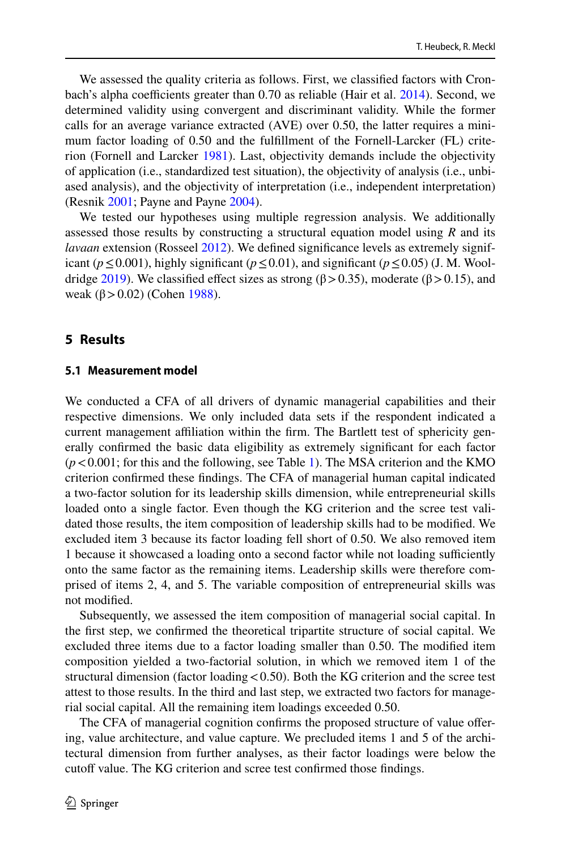We assessed the quality criteria as follows. First, we classifed factors with Cron-bach's alpha coefficients greater than 0.70 as reliable (Hair et al. [2014](#page-24-22)). Second, we determined validity using convergent and discriminant validity. While the former calls for an average variance extracted (AVE) over 0.50, the latter requires a minimum factor loading of 0.50 and the fulfllment of the Fornell-Larcker (FL) criterion (Fornell and Larcker [1981\)](#page-23-23). Last, objectivity demands include the objectivity of application (i.e., standardized test situation), the objectivity of analysis (i.e., unbiased analysis), and the objectivity of interpretation (i.e., independent interpretation) (Resnik [2001](#page-25-17); Payne and Payne [2004\)](#page-24-23).

We tested our hypotheses using multiple regression analysis. We additionally assessed those results by constructing a structural equation model using *R* and its *lavaan* extension (Rosseel [2012\)](#page-25-18). We defned signifcance levels as extremely significant ( $p \le 0.001$ ), highly significant ( $p \le 0.01$ ), and significant ( $p \le 0.05$ ) (J. M. Wool-dridge [2019](#page-25-19)). We classified effect sizes as strong ( $\beta$  > 0.35), moderate ( $\beta$  > 0.15), and weak (β > 0.02) (Cohen [1988](#page-23-24)).

### <span id="page-13-0"></span>**5 Results**

#### **5.1 Measurement model**

We conducted a CFA of all drivers of dynamic managerial capabilities and their respective dimensions. We only included data sets if the respondent indicated a current management afliation within the frm. The Bartlett test of sphericity generally confrmed the basic data eligibility as extremely signifcant for each factor  $(p<0.001$ ; for this and the following, see Table [1\)](#page-14-0). The MSA criterion and the KMO criterion confrmed these fndings. The CFA of managerial human capital indicated a two-factor solution for its leadership skills dimension, while entrepreneurial skills loaded onto a single factor. Even though the KG criterion and the scree test validated those results, the item composition of leadership skills had to be modifed. We excluded item 3 because its factor loading fell short of 0.50. We also removed item 1 because it showcased a loading onto a second factor while not loading sufficiently onto the same factor as the remaining items. Leadership skills were therefore comprised of items 2, 4, and 5. The variable composition of entrepreneurial skills was not modifed.

Subsequently, we assessed the item composition of managerial social capital. In the frst step, we confrmed the theoretical tripartite structure of social capital. We excluded three items due to a factor loading smaller than 0.50. The modifed item composition yielded a two-factorial solution, in which we removed item 1 of the structural dimension (factor loading  $< 0.50$ ). Both the KG criterion and the scree test attest to those results. In the third and last step, we extracted two factors for managerial social capital. All the remaining item loadings exceeded 0.50.

The CFA of managerial cognition confrms the proposed structure of value ofering, value architecture, and value capture. We precluded items 1 and 5 of the architectural dimension from further analyses, as their factor loadings were below the cutoff value. The KG criterion and scree test confirmed those findings.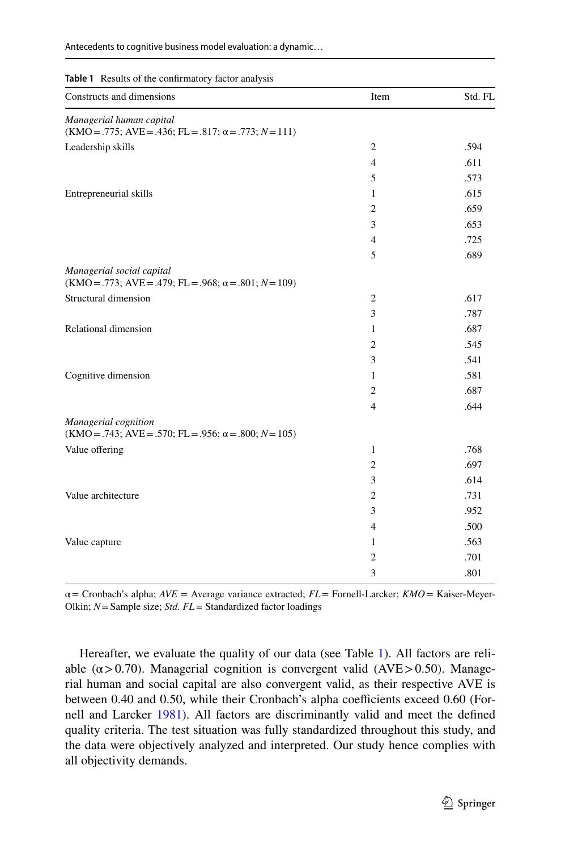| Antecedents to cognitive business model evaluation: a dynamic |  |  |  |  |
|---------------------------------------------------------------|--|--|--|--|
|---------------------------------------------------------------|--|--|--|--|

| Constructs and dimensions                                                                  | Item           | Std. FL |
|--------------------------------------------------------------------------------------------|----------------|---------|
| Managerial human capital                                                                   |                |         |
| $(KMO = .775; AVE = .436; FL = .817; \alpha = .773; N = 111)$                              |                |         |
| Leadership skills                                                                          | $\overline{c}$ | .594    |
|                                                                                            | $\overline{4}$ | .611    |
|                                                                                            | 5              | .573    |
| Entrepreneurial skills                                                                     | 1              | .615    |
|                                                                                            | $\overline{2}$ | .659    |
|                                                                                            | 3              | .653    |
|                                                                                            | $\overline{4}$ | .725    |
|                                                                                            | 5              | .689    |
| Managerial social capital<br>$(KMO = .773; AVE = .479; FL = .968; \alpha = .801; N = 109)$ |                |         |
| Structural dimension                                                                       | $\overline{c}$ | .617    |
|                                                                                            | 3              | .787    |
| Relational dimension                                                                       | $\mathbf{1}$   | .687    |
|                                                                                            | $\overline{c}$ | .545    |
|                                                                                            | 3              | .541    |
| Cognitive dimension                                                                        | $\mathbf{1}$   | .581    |
|                                                                                            | $\overline{c}$ | .687    |
|                                                                                            | 4              | .644    |
| Managerial cognition<br>$(KMO = .743; AVE = .570; FL = .956; \alpha = .800; N = 105)$      |                |         |
| Value offering                                                                             | $\mathbf{1}$   | .768    |
|                                                                                            | $\overline{c}$ | .697    |
|                                                                                            | 3              | .614    |
| Value architecture                                                                         | $\overline{c}$ | .731    |
|                                                                                            | 3              | .952    |
|                                                                                            | $\overline{4}$ | .500    |
| Value capture                                                                              | $\mathbf{1}$   | .563    |
|                                                                                            | $\overline{c}$ | .701    |
|                                                                                            | 3              | .801    |
|                                                                                            |                |         |

<span id="page-14-0"></span>

α= Cronbach's alpha; *AVE* = Average variance extracted; *FL*= Fornell-Larcker; *KMO*= Kaiser-Meyer-Olkin; *N*=Sample size; *Std. FL=* Standardized factor loadings

Hereafter, we evaluate the quality of our data (see Table [1](#page-14-0)). All factors are reliable ( $\alpha$  > 0.70). Managerial cognition is convergent valid (AVE > 0.50). Managerial human and social capital are also convergent valid, as their respective AVE is between 0.40 and 0.50, while their Cronbach's alpha coefficients exceed 0.60 (Fornell and Larcker [1981\)](#page-23-23). All factors are discriminantly valid and meet the defned quality criteria. The test situation was fully standardized throughout this study, and the data were objectively analyzed and interpreted. Our study hence complies with all objectivity demands.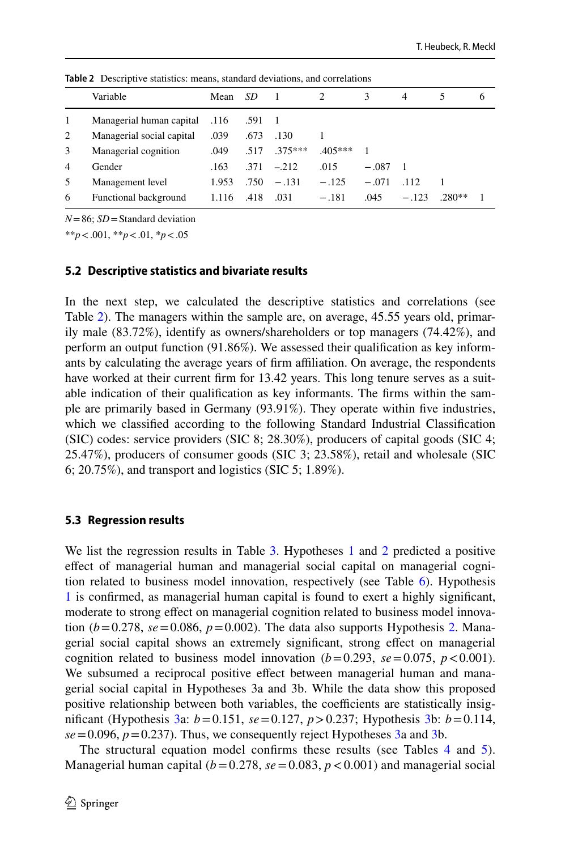|                | <b>Rapie 2</b> Descriptive statistics. Incaris, standard deviations, and correlations |       |      |           |           |         |                |        |   |
|----------------|---------------------------------------------------------------------------------------|-------|------|-----------|-----------|---------|----------------|--------|---|
|                | Variable                                                                              | Mean  | SD   |           |           | 3       | $\overline{4}$ |        | 6 |
| 1              | Managerial human capital                                                              | .116  | .591 |           |           |         |                |        |   |
| 2              | Managerial social capital                                                             | .039  | .673 | .130      |           |         |                |        |   |
| 3              | Managerial cognition                                                                  | .049  | .517 | $.375***$ | $.405***$ |         |                |        |   |
| $\overline{4}$ | Gender                                                                                | .163  | .371 | $-.212$   | .015      | $-.087$ |                |        |   |
| 5              | Management level                                                                      | 1.953 | .750 | $-.131$   | $-.125$   | $-.071$ | .112           |        |   |
| 6              | Functional background                                                                 | 1.116 | .418 | .031      | $-.181$   | .045    | $-.123$        | -280** |   |

<span id="page-15-0"></span>**Table 2** Descriptive statistics: means, standard deviations, and correlations

*N*=86; *SD*=Standard deviation

\*\**p*<.001, \*\**p*<.01, \**p*<.05

#### **5.2 Descriptive statistics and bivariate results**

In the next step, we calculated the descriptive statistics and correlations (see Table [2](#page-15-0)). The managers within the sample are, on average, 45.55 years old, primarily male (83.72%), identify as owners/shareholders or top managers (74.42%), and perform an output function (91.86%). We assessed their qualifcation as key informants by calculating the average years of frm afliation. On average, the respondents have worked at their current frm for 13.42 years. This long tenure serves as a suitable indication of their qualifcation as key informants. The frms within the sample are primarily based in Germany (93.91%). They operate within fve industries, which we classifed according to the following Standard Industrial Classifcation (SIC) codes: service providers (SIC 8; 28.30%), producers of capital goods (SIC 4; 25.47%), producers of consumer goods (SIC 3; 23.58%), retail and wholesale (SIC 6; 20.75%), and transport and logistics (SIC 5; 1.89%).

#### **5.3 Regression results**

We list the regression results in Table [3](#page-16-0). Hypotheses [1](#page-10-0) and [2](#page-10-1) predicted a positive efect of managerial human and managerial social capital on managerial cognition related to business model innovation, respectively (see Table [6](#page-17-0)). Hypothesis [1](#page-10-0) is confrmed, as managerial human capital is found to exert a highly signifcant, moderate to strong efect on managerial cognition related to business model innovation  $(b=0.278, \text{ se}=0.086, p=0.002)$  $(b=0.278, \text{ se}=0.086, p=0.002)$  $(b=0.278, \text{ se}=0.086, p=0.002)$ . The data also supports Hypothesis 2. Managerial social capital shows an extremely signifcant, strong efect on managerial cognition related to business model innovation  $(b=0.293, \, s\epsilon=0.075, \, p<0.001)$ . We subsumed a reciprocal positive effect between managerial human and managerial social capital in Hypotheses 3a and 3b. While the data show this proposed positive relationship between both variables, the coefficients are statistically insignifcant (Hypothesis [3](#page-10-2)a: *b*=0.151, *se*=0.127, *p*>0.237; Hypothesis [3b](#page-11-1): *b*=0.114,  $se = 0.096$ ,  $p = 0.237$ ). Thus, we consequently reject Hypotheses  $3a$  and  $3b$ .

The structural equation model confirms these results (see Tables [4](#page-16-1) and [5](#page-17-1)). Managerial human capital ( $b = 0.278$ ,  $se = 0.083$ ,  $p < 0.001$ ) and managerial social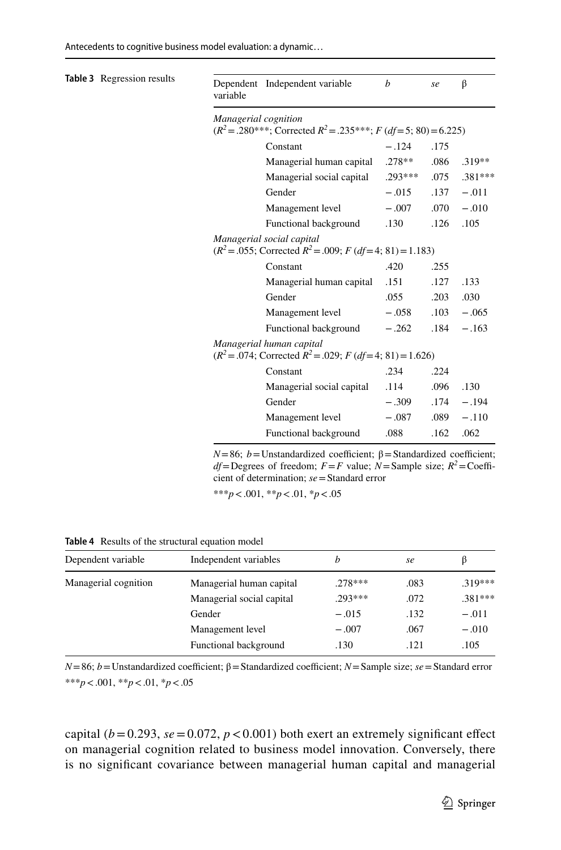<span id="page-16-0"></span>

| Table 3 Regression results | variable                                                                         | Dependent Independent variable                                                                          | $\boldsymbol{b}$          | se      | β         |         |  |
|----------------------------|----------------------------------------------------------------------------------|---------------------------------------------------------------------------------------------------------|---------------------------|---------|-----------|---------|--|
|                            |                                                                                  | Managerial cognition<br>$(R^2 = .280^{***}$ ; Corrected $R^2 = .235^{***}$ ; $F (df = 5; 80) = 6.225$ ) |                           |         |           |         |  |
|                            |                                                                                  | Constant                                                                                                | $-.124$                   | .175    |           |         |  |
|                            |                                                                                  | Managerial human capital                                                                                | $.278**$                  | .086    | $.319**$  |         |  |
|                            |                                                                                  | Managerial social capital                                                                               | $.293***$                 | .075    | $.381***$ |         |  |
|                            |                                                                                  | Gender                                                                                                  | $-.015$                   | .137    | $-.011$   |         |  |
|                            |                                                                                  | Management level                                                                                        | $-.007$                   | .070    | $-.010$   |         |  |
|                            |                                                                                  | Functional background                                                                                   | .130                      | .126    | .105      |         |  |
|                            | Managerial social capital<br>$(R2=.055;$ Corrected $R2=.009; F(df=4; 81)=1.183)$ |                                                                                                         |                           |         |           |         |  |
|                            |                                                                                  | Constant                                                                                                | .420                      | .255    |           |         |  |
|                            |                                                                                  |                                                                                                         | Managerial human capital  | .151    | .127      | .133    |  |
|                            |                                                                                  |                                                                                                         | Gender                    | .055    | .203      | .030    |  |
|                            |                                                                                  |                                                                                                         | Management level          | $-.058$ | .103      | $-.065$ |  |
|                            |                                                                                  |                                                                                                         | Functional background     | $-.262$ | .184      | $-.163$ |  |
|                            |                                                                                  | Managerial human capital<br>$(R2=.074$ ; Corrected $R2=.029$ ; F (df = 4; 81) = 1.626)                  |                           |         |           |         |  |
|                            |                                                                                  |                                                                                                         | Constant                  | .234    | .224      |         |  |
|                            |                                                                                  |                                                                                                         | Managerial social capital | .114    | .096      | .130    |  |
|                            |                                                                                  |                                                                                                         | Gender                    | $-.309$ | .174      | $-.194$ |  |
|                            |                                                                                  | Management level                                                                                        | $-.087$                   | .089    | $-.110$   |         |  |
|                            |                                                                                  | Functional background                                                                                   | .088                      | .162    | .062      |         |  |
|                            |                                                                                  |                                                                                                         |                           |         |           |         |  |

 $N=86$ ; *b*=Unstandardized coefficient;  $\beta$ =Standardized coefficient;  $df =$ Degrees of freedom;  $F = F$  value;  $N =$ Sample size;  $R^2 =$ Coefficient of determination; *se*=Standard error

\*\*\**p*<.001, \*\**p*<.01, \**p*<.05

<span id="page-16-1"></span>**Table 4** Results of the structural equation model

| Dependent variable   | Independent variables     | h        | se   |           |
|----------------------|---------------------------|----------|------|-----------|
| Managerial cognition | Managerial human capital  | $278***$ | .083 | 319***    |
|                      | Managerial social capital | 293***   | .072 | $.381***$ |
|                      | Gender                    | $-.015$  | .132 | $-.011$   |
|                      | Management level          | $-.007$  | .067 | $-.010$   |
|                      | Functional background     | .130     | .121 | .105      |

 $N=86$ ; *b* = Unstandardized coefficient;  $\beta$  = Standardized coefficient;  $N=$  Sample size; *se* = Standard error \*\*\**p*<.001, \*\**p*<.01, \**p*<.05

capital ( $b = 0.293$ ,  $se = 0.072$ ,  $p < 0.001$ ) both exert an extremely significant effect on managerial cognition related to business model innovation. Conversely, there is no signifcant covariance between managerial human capital and managerial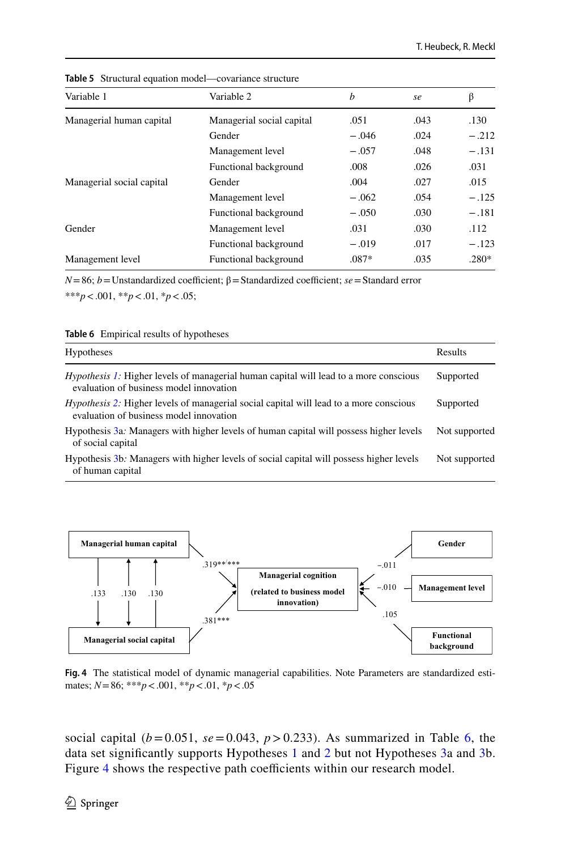| Variable 1                | Variable 2                | b       | se   | β       |
|---------------------------|---------------------------|---------|------|---------|
| Managerial human capital  | Managerial social capital | .051    | .043 | .130    |
|                           | Gender                    | $-.046$ | .024 | $-.212$ |
|                           | Management level          | $-.057$ | .048 | $-.131$ |
|                           | Functional background     | .008    | .026 | .031    |
| Managerial social capital | Gender                    | .004    | .027 | .015    |
|                           | Management level          | $-.062$ | .054 | $-.125$ |
|                           | Functional background     | $-.050$ | .030 | $-.181$ |
| Gender                    | Management level          | .031    | .030 | .112    |
|                           | Functional background     | $-.019$ | .017 | $-.123$ |
| Management level          | Functional background     | $.087*$ | .035 | $.280*$ |

<span id="page-17-1"></span>**Table 5** Structural equation model—covariance structure

 $N=86$ ; *b* = Unstandardized coefficient;  $\beta$  = Standardized coefficient; *se* = Standard error \*\*\**p*<.001, \*\**p*<.01, \**p*<.05;

<span id="page-17-0"></span>

| <b>Table 6</b> Empirical results of hypotheses                                                                                           |               |  |  |  |
|------------------------------------------------------------------------------------------------------------------------------------------|---------------|--|--|--|
| <b>Hypotheses</b>                                                                                                                        | Results       |  |  |  |
| <i>Hypothesis 1:</i> Higher levels of managerial human capital will lead to a more conscious<br>evaluation of business model innovation  | Supported     |  |  |  |
| <i>Hypothesis 2:</i> Higher levels of managerial social capital will lead to a more conscious<br>evaluation of business model innovation | Supported     |  |  |  |
| Hypothesis 3a: Managers with higher levels of human capital will possess higher levels<br>of social capital                              | Not supported |  |  |  |
| Hypothesis 3b. Managers with higher levels of social capital will possess higher levels<br>of human capital                              | Not supported |  |  |  |



<span id="page-17-2"></span>**Fig. 4** The statistical model of dynamic managerial capabilities. Note Parameters are standardized estimates; *N*=86; \*\*\**p*<.001, \*\**p*<.01, \**p*<.05

social capital  $(b=0.051, s\ell=0.043, p>0.233)$ . As summarized in Table [6](#page-17-0), the data set signifcantly supports Hypotheses [1](#page-10-0) and [2](#page-10-1) but not Hypotheses [3](#page-10-2)a and [3b](#page-11-1). Figure [4](#page-17-2) shows the respective path coefficients within our research model.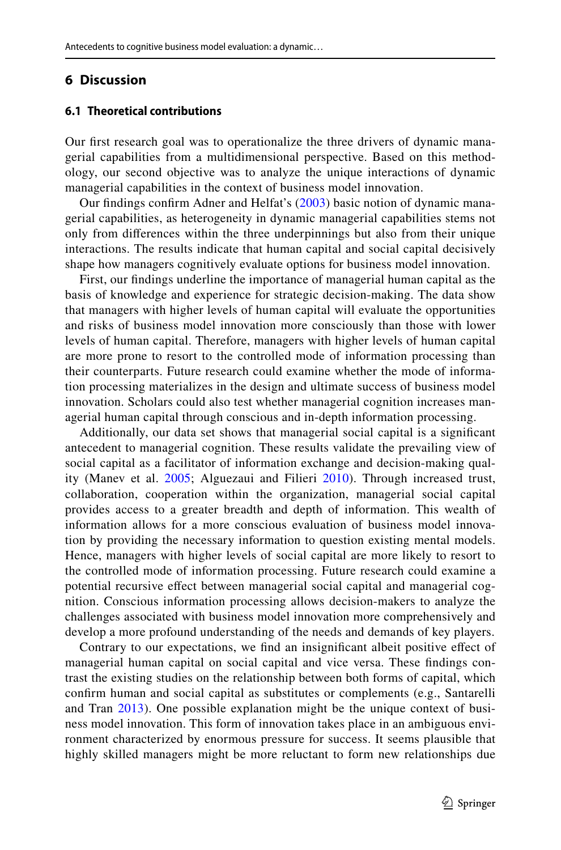#### <span id="page-18-0"></span>**6 Discussion**

#### **6.1 Theoretical contributions**

Our first research goal was to operationalize the three drivers of dynamic managerial capabilities from a multidimensional perspective. Based on this methodology, our second objective was to analyze the unique interactions of dynamic managerial capabilities in the context of business model innovation.

Our fndings confrm Adner and Helfat's ([2003](#page-22-1)) basic notion of dynamic managerial capabilities, as heterogeneity in dynamic managerial capabilities stems not only from diferences within the three underpinnings but also from their unique interactions. The results indicate that human capital and social capital decisively shape how managers cognitively evaluate options for business model innovation.

First, our fndings underline the importance of managerial human capital as the basis of knowledge and experience for strategic decision-making. The data show that managers with higher levels of human capital will evaluate the opportunities and risks of business model innovation more consciously than those with lower levels of human capital. Therefore, managers with higher levels of human capital are more prone to resort to the controlled mode of information processing than their counterparts. Future research could examine whether the mode of information processing materializes in the design and ultimate success of business model innovation. Scholars could also test whether managerial cognition increases managerial human capital through conscious and in-depth information processing.

Additionally, our data set shows that managerial social capital is a signifcant antecedent to managerial cognition. These results validate the prevailing view of social capital as a facilitator of information exchange and decision-making qual-ity (Manev et al. [2005;](#page-24-18) Alguezaui and Filieri [2010](#page-22-10)). Through increased trust, collaboration, cooperation within the organization, managerial social capital provides access to a greater breadth and depth of information. This wealth of information allows for a more conscious evaluation of business model innovation by providing the necessary information to question existing mental models. Hence, managers with higher levels of social capital are more likely to resort to the controlled mode of information processing. Future research could examine a potential recursive efect between managerial social capital and managerial cognition. Conscious information processing allows decision-makers to analyze the challenges associated with business model innovation more comprehensively and develop a more profound understanding of the needs and demands of key players.

Contrary to our expectations, we fnd an insignifcant albeit positive efect of managerial human capital on social capital and vice versa. These fndings contrast the existing studies on the relationship between both forms of capital, which confrm human and social capital as substitutes or complements (e.g., Santarelli and Tran [2013\)](#page-25-20). One possible explanation might be the unique context of business model innovation. This form of innovation takes place in an ambiguous environment characterized by enormous pressure for success. It seems plausible that highly skilled managers might be more reluctant to form new relationships due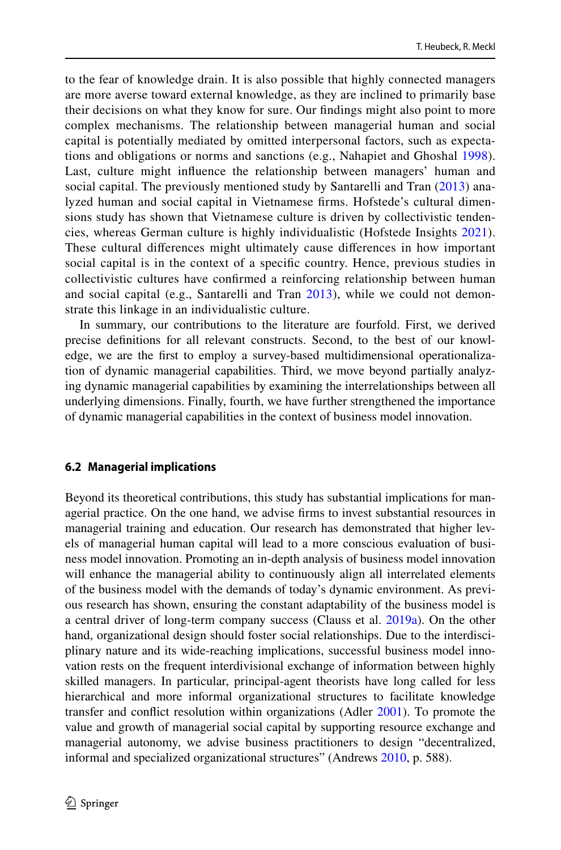to the fear of knowledge drain. It is also possible that highly connected managers are more averse toward external knowledge, as they are inclined to primarily base their decisions on what they know for sure. Our fndings might also point to more complex mechanisms. The relationship between managerial human and social capital is potentially mediated by omitted interpersonal factors, such as expectations and obligations or norms and sanctions (e.g., Nahapiet and Ghoshal [1998](#page-24-9)). Last, culture might infuence the relationship between managers' human and social capital. The previously mentioned study by Santarelli and Tran ([2013\)](#page-25-20) analyzed human and social capital in Vietnamese frms. Hofstede's cultural dimensions study has shown that Vietnamese culture is driven by collectivistic tendencies, whereas German culture is highly individualistic (Hofstede Insights [2021](#page-24-24)). These cultural diferences might ultimately cause diferences in how important social capital is in the context of a specifc country. Hence, previous studies in collectivistic cultures have confrmed a reinforcing relationship between human and social capital (e.g., Santarelli and Tran [2013\)](#page-25-20), while we could not demonstrate this linkage in an individualistic culture.

In summary, our contributions to the literature are fourfold. First, we derived precise defnitions for all relevant constructs. Second, to the best of our knowledge, we are the frst to employ a survey-based multidimensional operationalization of dynamic managerial capabilities. Third, we move beyond partially analyzing dynamic managerial capabilities by examining the interrelationships between all underlying dimensions. Finally, fourth, we have further strengthened the importance of dynamic managerial capabilities in the context of business model innovation.

### **6.2 Managerial implications**

Beyond its theoretical contributions, this study has substantial implications for managerial practice. On the one hand, we advise frms to invest substantial resources in managerial training and education. Our research has demonstrated that higher levels of managerial human capital will lead to a more conscious evaluation of business model innovation. Promoting an in-depth analysis of business model innovation will enhance the managerial ability to continuously align all interrelated elements of the business model with the demands of today's dynamic environment. As previous research has shown, ensuring the constant adaptability of the business model is a central driver of long-term company success (Clauss et al. [2019a](#page-23-1)). On the other hand, organizational design should foster social relationships. Due to the interdisciplinary nature and its wide-reaching implications, successful business model innovation rests on the frequent interdivisional exchange of information between highly skilled managers. In particular, principal-agent theorists have long called for less hierarchical and more informal organizational structures to facilitate knowledge transfer and confict resolution within organizations (Adler [2001\)](#page-22-11). To promote the value and growth of managerial social capital by supporting resource exchange and managerial autonomy, we advise business practitioners to design "decentralized, informal and specialized organizational structures" (Andrews [2010,](#page-22-6) p. 588).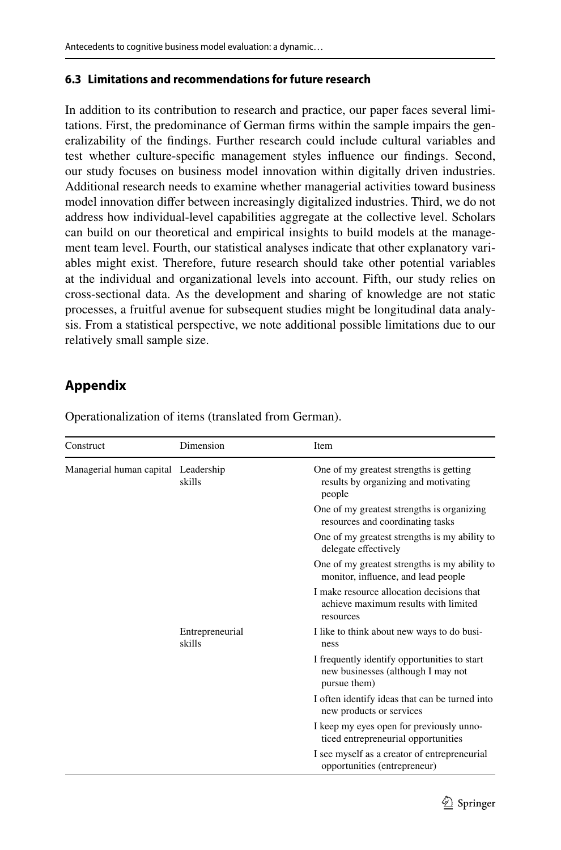### **6.3 Limitations and recommendations for future research**

In addition to its contribution to research and practice, our paper faces several limitations. First, the predominance of German frms within the sample impairs the generalizability of the fndings. Further research could include cultural variables and test whether culture-specifc management styles infuence our fndings. Second, our study focuses on business model innovation within digitally driven industries. Additional research needs to examine whether managerial activities toward business model innovation difer between increasingly digitalized industries. Third, we do not address how individual-level capabilities aggregate at the collective level. Scholars can build on our theoretical and empirical insights to build models at the management team level. Fourth, our statistical analyses indicate that other explanatory variables might exist. Therefore, future research should take other potential variables at the individual and organizational levels into account. Fifth, our study relies on cross-sectional data. As the development and sharing of knowledge are not static processes, a fruitful avenue for subsequent studies might be longitudinal data analysis. From a statistical perspective, we note additional possible limitations due to our relatively small sample size.

## **Appendix**

| Construct                           | Dimension                 | Item                                                                                               |
|-------------------------------------|---------------------------|----------------------------------------------------------------------------------------------------|
| Managerial human capital Leadership | skills                    | One of my greatest strengths is getting<br>results by organizing and motivating<br>people          |
|                                     |                           | One of my greatest strengths is organizing<br>resources and coordinating tasks                     |
|                                     |                           | One of my greatest strengths is my ability to<br>delegate effectively                              |
|                                     |                           | One of my greatest strengths is my ability to<br>monitor, influence, and lead people               |
|                                     |                           | I make resource allocation decisions that<br>achieve maximum results with limited<br>resources     |
|                                     | Entrepreneurial<br>skills | I like to think about new ways to do busi-<br>ness                                                 |
|                                     |                           | I frequently identify opportunities to start<br>new businesses (although I may not<br>pursue them) |
|                                     |                           | I often identify ideas that can be turned into<br>new products or services                         |
|                                     |                           | I keep my eyes open for previously unno-<br>ticed entrepreneurial opportunities                    |
|                                     |                           | I see myself as a creator of entrepreneurial<br>opportunities (entrepreneur)                       |

Operationalization of items (translated from German).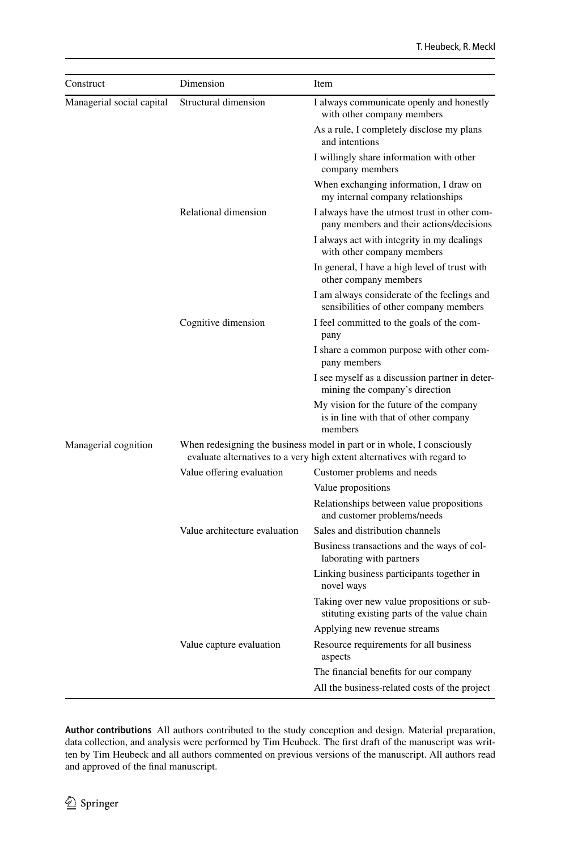| Construct                 | Dimension                     | Item                                                                                                                                              |
|---------------------------|-------------------------------|---------------------------------------------------------------------------------------------------------------------------------------------------|
| Managerial social capital | Structural dimension          | I always communicate openly and honestly<br>with other company members                                                                            |
|                           |                               | As a rule, I completely disclose my plans<br>and intentions                                                                                       |
|                           |                               | I willingly share information with other<br>company members                                                                                       |
|                           |                               | When exchanging information, I draw on<br>my internal company relationships                                                                       |
|                           | Relational dimension          | I always have the utmost trust in other com-<br>pany members and their actions/decisions                                                          |
|                           |                               | I always act with integrity in my dealings<br>with other company members                                                                          |
|                           |                               | In general, I have a high level of trust with<br>other company members                                                                            |
|                           |                               | I am always considerate of the feelings and<br>sensibilities of other company members                                                             |
|                           | Cognitive dimension           | I feel committed to the goals of the com-<br>pany                                                                                                 |
|                           |                               | I share a common purpose with other com-<br>pany members                                                                                          |
|                           |                               | I see myself as a discussion partner in deter-<br>mining the company's direction                                                                  |
|                           |                               | My vision for the future of the company<br>is in line with that of other company<br>members                                                       |
| Managerial cognition      |                               | When redesigning the business model in part or in whole, I consciously<br>evaluate alternatives to a very high extent alternatives with regard to |
|                           | Value offering evaluation     | Customer problems and needs                                                                                                                       |
|                           |                               | Value propositions                                                                                                                                |
|                           |                               | Relationships between value propositions<br>and customer problems/needs                                                                           |
|                           | Value architecture evaluation | Sales and distribution channels                                                                                                                   |
|                           |                               | Business transactions and the ways of col-<br>laborating with partners                                                                            |
|                           |                               | Linking business participants together in<br>novel ways                                                                                           |
|                           |                               | Taking over new value propositions or sub-<br>stituting existing parts of the value chain                                                         |
|                           |                               | Applying new revenue streams                                                                                                                      |
|                           | Value capture evaluation      | Resource requirements for all business<br>aspects                                                                                                 |
|                           |                               | The financial benefits for our company                                                                                                            |
|                           |                               | All the business-related costs of the project                                                                                                     |

**Author contributions** All authors contributed to the study conception and design. Material preparation, data collection, and analysis were performed by Tim Heubeck. The frst draft of the manuscript was written by Tim Heubeck and all authors commented on previous versions of the manuscript. All authors read and approved of the fnal manuscript.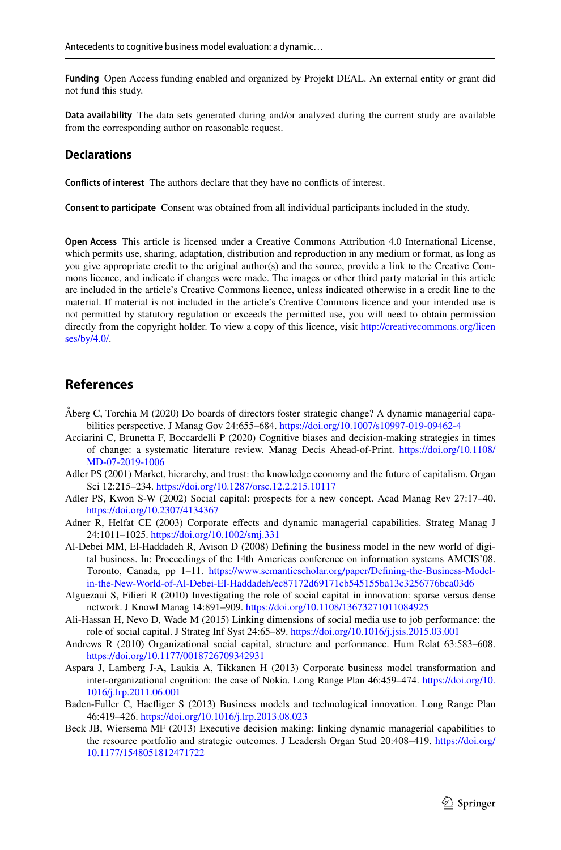**Funding** Open Access funding enabled and organized by Projekt DEAL. An external entity or grant did not fund this study.

**Data availability** The data sets generated during and/or analyzed during the current study are available from the corresponding author on reasonable request.

#### **Declarations**

**Conficts of interest** The authors declare that they have no conficts of interest.

**Consent to participate** Consent was obtained from all individual participants included in the study.

**Open Access** This article is licensed under a Creative Commons Attribution 4.0 International License, which permits use, sharing, adaptation, distribution and reproduction in any medium or format, as long as you give appropriate credit to the original author(s) and the source, provide a link to the Creative Commons licence, and indicate if changes were made. The images or other third party material in this article are included in the article's Creative Commons licence, unless indicated otherwise in a credit line to the material. If material is not included in the article's Creative Commons licence and your intended use is not permitted by statutory regulation or exceeds the permitted use, you will need to obtain permission directly from the copyright holder. To view a copy of this licence, visit [http://creativecommons.org/licen](http://creativecommons.org/licenses/by/4.0/) [ses/by/4.0/](http://creativecommons.org/licenses/by/4.0/).

### **References**

- <span id="page-22-2"></span>Åberg C, Torchia M (2020) Do boards of directors foster strategic change? A dynamic managerial capabilities perspective. J Manag Gov 24:655–684.<https://doi.org/10.1007/s10997-019-09462-4>
- <span id="page-22-0"></span>Acciarini C, Brunetta F, Boccardelli P (2020) Cognitive biases and decision-making strategies in times of change: a systematic literature review. Manag Decis Ahead-of-Print. [https://doi.org/10.1108/](https://doi.org/10.1108/MD-07-2019-1006) [MD-07-2019-1006](https://doi.org/10.1108/MD-07-2019-1006)
- <span id="page-22-11"></span>Adler PS (2001) Market, hierarchy, and trust: the knowledge economy and the future of capitalism. Organ Sci 12:215–234.<https://doi.org/10.1287/orsc.12.2.215.10117>
- <span id="page-22-5"></span>Adler PS, Kwon S-W (2002) Social capital: prospects for a new concept. Acad Manag Rev 27:17–40. <https://doi.org/10.2307/4134367>
- <span id="page-22-1"></span>Adner R, Helfat CE (2003) Corporate efects and dynamic managerial capabilities. Strateg Manag J 24:1011–1025.<https://doi.org/10.1002/smj.331>
- <span id="page-22-3"></span>Al-Debei MM, El-Haddadeh R, Avison D (2008) Defning the business model in the new world of digital business. In: Proceedings of the 14th Americas conference on information systems AMCIS'08. Toronto, Canada, pp 1–11. [https://www.semanticscholar.org/paper/Defning-the-Business-Model](https://www.semanticscholar.org/paper/Defining-the-Business-Model-in-the-New-World-of-Al-Debei-El-Haddadeh/ec87172d69171cb545155ba13c3256776bca03d6)[in-the-New-World-of-Al-Debei-El-Haddadeh/ec87172d69171cb545155ba13c3256776bca03d6](https://www.semanticscholar.org/paper/Defining-the-Business-Model-in-the-New-World-of-Al-Debei-El-Haddadeh/ec87172d69171cb545155ba13c3256776bca03d6)
- <span id="page-22-10"></span>Alguezaui S, Filieri R (2010) Investigating the role of social capital in innovation: sparse versus dense network. J Knowl Manag 14:891–909. <https://doi.org/10.1108/13673271011084925>
- <span id="page-22-7"></span>Ali-Hassan H, Nevo D, Wade M (2015) Linking dimensions of social media use to job performance: the role of social capital. J Strateg Inf Syst 24:65–89. <https://doi.org/10.1016/j.jsis.2015.03.001>
- <span id="page-22-6"></span>Andrews R (2010) Organizational social capital, structure and performance. Hum Relat 63:583–608. <https://doi.org/10.1177/0018726709342931>
- <span id="page-22-9"></span>Aspara J, Lamberg J-A, Laukia A, Tikkanen H (2013) Corporate business model transformation and inter-organizational cognition: the case of Nokia. Long Range Plan 46:459–474. [https://doi.org/10.](https://doi.org/10.1016/j.lrp.2011.06.001) [1016/j.lrp.2011.06.001](https://doi.org/10.1016/j.lrp.2011.06.001)
- <span id="page-22-8"></span>Baden-Fuller C, Haefiger S (2013) Business models and technological innovation. Long Range Plan 46:419–426.<https://doi.org/10.1016/j.lrp.2013.08.023>
- <span id="page-22-4"></span>Beck JB, Wiersema MF (2013) Executive decision making: linking dynamic managerial capabilities to the resource portfolio and strategic outcomes. J Leadersh Organ Stud 20:408–419. [https://doi.org/](https://doi.org/10.1177/1548051812471722) [10.1177/1548051812471722](https://doi.org/10.1177/1548051812471722)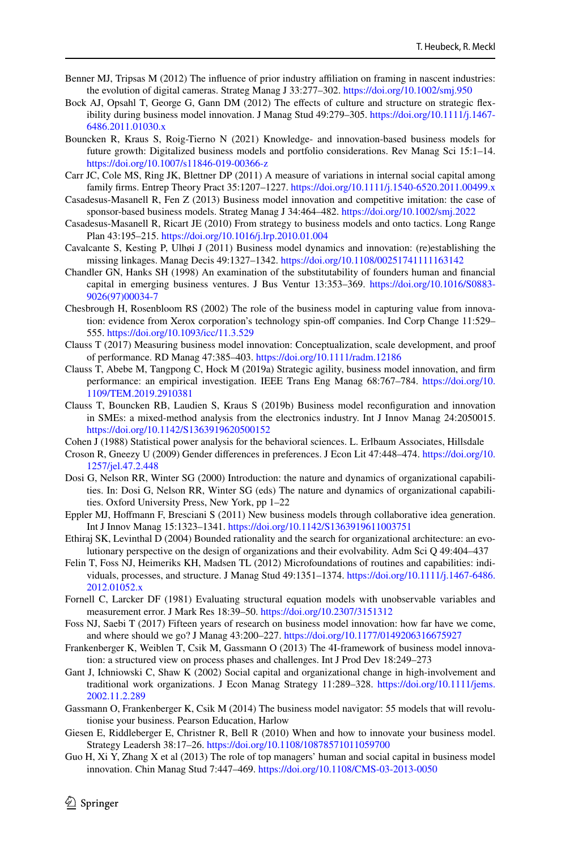- <span id="page-23-17"></span>Benner MJ, Tripsas M (2012) The infuence of prior industry afliation on framing in nascent industries: the evolution of digital cameras. Strateg Manag J 33:277–302.<https://doi.org/10.1002/smj.950>
- <span id="page-23-16"></span>Bock AJ, Opsahl T, George G, Gann DM (2012) The efects of culture and structure on strategic fexibility during business model innovation. J Manag Stud 49:279–305. [https://doi.org/10.1111/j.1467-](https://doi.org/10.1111/j.1467-6486.2011.01030.x) [6486.2011.01030.x](https://doi.org/10.1111/j.1467-6486.2011.01030.x)
- <span id="page-23-0"></span>Bouncken R, Kraus S, Roig-Tierno N (2021) Knowledge- and innovation-based business models for future growth: Digitalized business models and portfolio considerations. Rev Manag Sci 15:1–14. <https://doi.org/10.1007/s11846-019-00366-z>
- <span id="page-23-20"></span>Carr JC, Cole MS, Ring JK, Blettner DP (2011) A measure of variations in internal social capital among family frms. Entrep Theory Pract 35:1207–1227.<https://doi.org/10.1111/j.1540-6520.2011.00499.x>
- <span id="page-23-11"></span>Casadesus-Masanell R, Fen Z (2013) Business model innovation and competitive imitation: the case of sponsor-based business models. Strateg Manag J 34:464–482. <https://doi.org/10.1002/smj.2022>
- <span id="page-23-5"></span>Casadesus-Masanell R, Ricart JE (2010) From strategy to business models and onto tactics. Long Range Plan 43:195–215.<https://doi.org/10.1016/j.lrp.2010.01.004>
- <span id="page-23-15"></span>Cavalcante S, Kesting P, Ulhøi J (2011) Business model dynamics and innovation: (re)establishing the missing linkages. Manag Decis 49:1327–1342.<https://doi.org/10.1108/00251741111163142>
- <span id="page-23-19"></span>Chandler GN, Hanks SH (1998) An examination of the substitutability of founders human and fnancial capital in emerging business ventures. J Bus Ventur 13:353–369. [https://doi.org/10.1016/S0883-](https://doi.org/10.1016/S0883-9026(97)00034-7) [9026\(97\)00034-7](https://doi.org/10.1016/S0883-9026(97)00034-7)
- <span id="page-23-9"></span>Chesbrough H, Rosenbloom RS (2002) The role of the business model in capturing value from innovation: evidence from Xerox corporation's technology spin-of companies. Ind Corp Change 11:529– 555.<https://doi.org/10.1093/icc/11.3.529>
- <span id="page-23-10"></span>Clauss T (2017) Measuring business model innovation: Conceptualization, scale development, and proof of performance. RD Manag 47:385–403. <https://doi.org/10.1111/radm.12186>
- <span id="page-23-1"></span>Clauss T, Abebe M, Tangpong C, Hock M (2019a) Strategic agility, business model innovation, and frm performance: an empirical investigation. IEEE Trans Eng Manag 68:767–784. [https://doi.org/10.](https://doi.org/10.1109/TEM.2019.2910381) [1109/TEM.2019.2910381](https://doi.org/10.1109/TEM.2019.2910381)
- <span id="page-23-2"></span>Clauss T, Bouncken RB, Laudien S, Kraus S (2019b) Business model reconfguration and innovation in SMEs: a mixed-method analysis from the electronics industry. Int J Innov Manag 24:2050015. <https://doi.org/10.1142/S1363919620500152>
- <span id="page-23-24"></span>Cohen J (1988) Statistical power analysis for the behavioral sciences. L. Erlbaum Associates, Hillsdale
- <span id="page-23-21"></span>Croson R, Gneezy U (2009) Gender diferences in preferences. J Econ Lit 47:448–474. [https://doi.org/10.](https://doi.org/10.1257/jel.47.2.448) [1257/jel.47.2.448](https://doi.org/10.1257/jel.47.2.448)
- <span id="page-23-6"></span>Dosi G, Nelson RR, Winter SG (2000) Introduction: the nature and dynamics of organizational capabilities. In: Dosi G, Nelson RR, Winter SG (eds) The nature and dynamics of organizational capabilities. Oxford University Press, New York, pp 1–22
- <span id="page-23-3"></span>Eppler MJ, Hofmann F, Bresciani S (2011) New business models through collaborative idea generation. Int J Innov Manag 15:1323–1341. <https://doi.org/10.1142/S1363919611003751>
- <span id="page-23-22"></span>Ethiraj SK, Levinthal D (2004) Bounded rationality and the search for organizational architecture: an evolutionary perspective on the design of organizations and their evolvability. Adm Sci Q 49:404–437
- <span id="page-23-4"></span>Felin T, Foss NJ, Heimeriks KH, Madsen TL (2012) Microfoundations of routines and capabilities: individuals, processes, and structure. J Manag Stud 49:1351–1374. [https://doi.org/10.1111/j.1467-6486.](https://doi.org/10.1111/j.1467-6486.2012.01052.x) [2012.01052.x](https://doi.org/10.1111/j.1467-6486.2012.01052.x)
- <span id="page-23-23"></span>Fornell C, Larcker DF (1981) Evaluating structural equation models with unobservable variables and measurement error. J Mark Res 18:39–50.<https://doi.org/10.2307/3151312>
- <span id="page-23-12"></span>Foss NJ, Saebi T (2017) Fifteen years of research on business model innovation: how far have we come, and where should we go? J Manag 43:200–227. <https://doi.org/10.1177/0149206316675927>
- <span id="page-23-13"></span>Frankenberger K, Weiblen T, Csik M, Gassmann O (2013) The 4I-framework of business model innovation: a structured view on process phases and challenges. Int J Prod Dev 18:249–273
- <span id="page-23-8"></span>Gant J, Ichniowski C, Shaw K (2002) Social capital and organizational change in high-involvement and traditional work organizations. J Econ Manag Strategy 11:289–328. [https://doi.org/10.1111/jems.](https://doi.org/10.1111/jems.2002.11.2.289) [2002.11.2.289](https://doi.org/10.1111/jems.2002.11.2.289)
- <span id="page-23-14"></span>Gassmann O, Frankenberger K, Csik M (2014) The business model navigator: 55 models that will revolutionise your business. Pearson Education, Harlow
- <span id="page-23-18"></span>Giesen E, Riddleberger E, Christner R, Bell R (2010) When and how to innovate your business model. Strategy Leadersh 38:17–26.<https://doi.org/10.1108/10878571011059700>
- <span id="page-23-7"></span>Guo H, Xi Y, Zhang X et al (2013) The role of top managers' human and social capital in business model innovation. Chin Manag Stud 7:447–469. <https://doi.org/10.1108/CMS-03-2013-0050>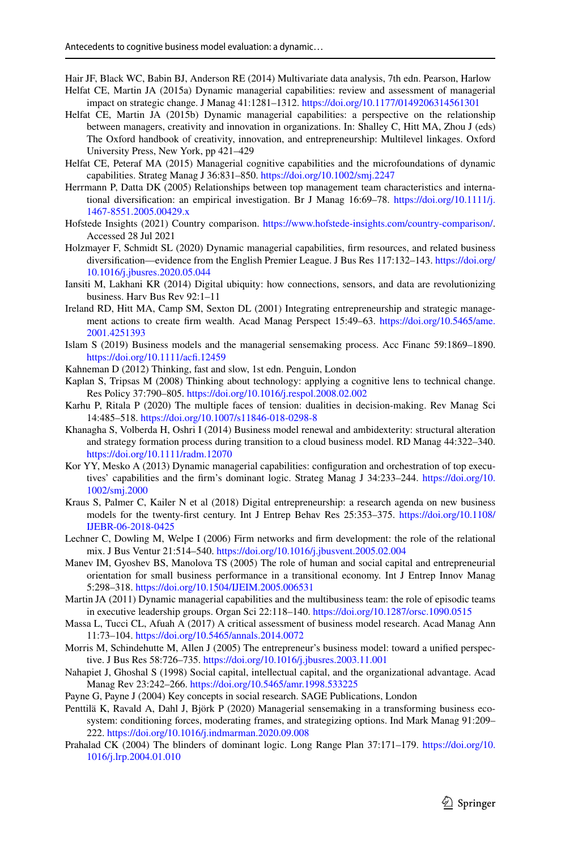<span id="page-24-22"></span><span id="page-24-4"></span>Hair JF, Black WC, Babin BJ, Anderson RE (2014) Multivariate data analysis, 7th edn. Pearson, Harlow Helfat CE, Martin JA (2015a) Dynamic managerial capabilities: review and assessment of managerial impact on strategic change. J Manag 41:1281–1312. <https://doi.org/10.1177/0149206314561301>

- <span id="page-24-10"></span>Helfat CE, Martin JA (2015b) Dynamic managerial capabilities: a perspective on the relationship between managers, creativity and innovation in organizations. In: Shalley C, Hitt MA, Zhou J (eds) The Oxford handbook of creativity, innovation, and entrepreneurship: Multilevel linkages. Oxford University Press, New York, pp 421–429
- <span id="page-24-13"></span>Helfat CE, Peteraf MA (2015) Managerial cognitive capabilities and the microfoundations of dynamic capabilities. Strateg Manag J 36:831–850.<https://doi.org/10.1002/smj.2247>
- <span id="page-24-21"></span>Herrmann P, Datta DK (2005) Relationships between top management team characteristics and international diversifcation: an empirical investigation. Br J Manag 16:69–78. [https://doi.org/10.1111/j.](https://doi.org/10.1111/j.1467-8551.2005.00429.x) [1467-8551.2005.00429.x](https://doi.org/10.1111/j.1467-8551.2005.00429.x)
- <span id="page-24-24"></span>Hofstede Insights (2021) Country comparison. <https://www.hofstede-insights.com/country-comparison/>. Accessed 28 Jul 2021
- <span id="page-24-3"></span>Holzmayer F, Schmidt SL (2020) Dynamic managerial capabilities, frm resources, and related business diversifcation—evidence from the English Premier League. J Bus Res 117:132–143. [https://doi.org/](https://doi.org/10.1016/j.jbusres.2020.05.044) [10.1016/j.jbusres.2020.05.044](https://doi.org/10.1016/j.jbusres.2020.05.044)
- <span id="page-24-14"></span>Iansiti M, Lakhani KR (2014) Digital ubiquity: how connections, sensors, and data are revolutionizing business. Harv Bus Rev 92:1–11
- <span id="page-24-8"></span>Ireland RD, Hitt MA, Camp SM, Sexton DL (2001) Integrating entrepreneurship and strategic management actions to create frm wealth. Acad Manag Perspect 15:49–63. [https://doi.org/10.5465/ame.](https://doi.org/10.5465/ame.2001.4251393) [2001.4251393](https://doi.org/10.5465/ame.2001.4251393)
- <span id="page-24-7"></span>Islam S (2019) Business models and the managerial sensemaking process. Acc Financ 59:1869–1890. [https://doi.org/10.1111/acf.12459](https://doi.org/10.1111/acfi.12459)
- <span id="page-24-12"></span>Kahneman D (2012) Thinking, fast and slow, 1st edn. Penguin, London
- <span id="page-24-2"></span>Kaplan S, Tripsas M (2008) Thinking about technology: applying a cognitive lens to technical change. Res Policy 37:790–805.<https://doi.org/10.1016/j.respol.2008.02.002>
- <span id="page-24-11"></span>Karhu P, Ritala P (2020) The multiple faces of tension: dualities in decision-making. Rev Manag Sci 14:485–518.<https://doi.org/10.1007/s11846-018-0298-8>
- <span id="page-24-17"></span>Khanagha S, Volberda H, Oshri I (2014) Business model renewal and ambidexterity: structural alteration and strategy formation process during transition to a cloud business model. RD Manag 44:322–340. <https://doi.org/10.1111/radm.12070>
- <span id="page-24-6"></span>Kor YY, Mesko A (2013) Dynamic managerial capabilities: confguration and orchestration of top executives' capabilities and the frm's dominant logic. Strateg Manag J 34:233–244. [https://doi.org/10.](https://doi.org/10.1002/smj.2000) [1002/smj.2000](https://doi.org/10.1002/smj.2000)
- <span id="page-24-0"></span>Kraus S, Palmer C, Kailer N et al (2018) Digital entrepreneurship: a research agenda on new business models for the twenty-frst century. Int J Entrep Behav Res 25:353–375. [https://doi.org/10.1108/](https://doi.org/10.1108/IJEBR-06-2018-0425) [IJEBR-06-2018-0425](https://doi.org/10.1108/IJEBR-06-2018-0425)
- <span id="page-24-20"></span>Lechner C, Dowling M, Welpe I (2006) Firm networks and frm development: the role of the relational mix. J Bus Ventur 21:514–540. <https://doi.org/10.1016/j.jbusvent.2005.02.004>
- <span id="page-24-18"></span>Manev IM, Gyoshev BS, Manolova TS (2005) The role of human and social capital and entrepreneurial orientation for small business performance in a transitional economy. Int J Entrep Innov Manag 5:298–318.<https://doi.org/10.1504/IJEIM.2005.006531>
- <span id="page-24-5"></span>Martin JA (2011) Dynamic managerial capabilities and the multibusiness team: the role of episodic teams in executive leadership groups. Organ Sci 22:118–140.<https://doi.org/10.1287/orsc.1090.0515>
- <span id="page-24-16"></span>Massa L, Tucci CL, Afuah A (2017) A critical assessment of business model research. Acad Manag Ann 11:73–104.<https://doi.org/10.5465/annals.2014.0072>
- <span id="page-24-15"></span>Morris M, Schindehutte M, Allen J (2005) The entrepreneur's business model: toward a unifed perspective. J Bus Res 58:726–735.<https://doi.org/10.1016/j.jbusres.2003.11.001>
- <span id="page-24-9"></span>Nahapiet J, Ghoshal S (1998) Social capital, intellectual capital, and the organizational advantage. Acad Manag Rev 23:242–266.<https://doi.org/10.5465/amr.1998.533225>
- <span id="page-24-23"></span>Payne G, Payne J (2004) Key concepts in social research. SAGE Publications, London
- <span id="page-24-1"></span>Penttilä K, Ravald A, Dahl J, Björk P (2020) Managerial sensemaking in a transforming business ecosystem: conditioning forces, moderating frames, and strategizing options. Ind Mark Manag 91:209– 222.<https://doi.org/10.1016/j.indmarman.2020.09.008>
- <span id="page-24-19"></span>Prahalad CK (2004) The blinders of dominant logic. Long Range Plan 37:171–179. [https://doi.org/10.](https://doi.org/10.1016/j.lrp.2004.01.010) [1016/j.lrp.2004.01.010](https://doi.org/10.1016/j.lrp.2004.01.010)